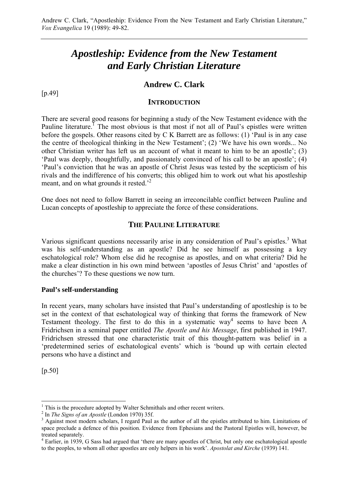# *Apostleship: Evidence from the New Testament and Early Christian Literature*

# **Andrew C. Clark**

[p.49]

### **INTRODUCTION**

There are several good reasons for beginning a study of the New Testament evidence with the Pauline literature.<sup>I</sup> The most obvious is that most if not all of Paul's epistles were written before the gospels. Other reasons cited by C K Barrett are as follows: (1) 'Paul is in any case the centre of theological thinking in the New Testament'; (2) 'We have his own words... No other Christian writer has left us an account of what it meant to him to be an apostle'; (3) 'Paul was deeply, thoughtfully, and passionately convinced of his call to be an apostle'; (4) 'Paul's conviction that he was an apostle of Christ Jesus was tested by the scepticism of his rivals and the indifference of his converts; this obliged him to work out what his apostleship meant, and on what grounds it rested.<sup>2</sup>

One does not need to follow Barrett in seeing an irreconcilable conflict between Pauline and Lucan concepts of apostleship to appreciate the force of these considerations.

# **THE PAULINE LITERATURE**

Various significant questions necessarily arise in any consideration of Paul's epistles.<sup>3</sup> What was his self-understanding as an apostle? Did he see himself as possessing a key eschatological role? Whom else did he recognise as apostles, and on what criteria? Did he make a clear distinction in his own mind between 'apostles of Jesus Christ' and 'apostles of the churches'? To these questions we now turn.

#### **Paul's self-understanding**

In recent years, many scholars have insisted that Paul's understanding of apostleship is to be set in the context of that eschatological way of thinking that forms the framework of New Testament theology. The first to do this in a systematic way<sup>4</sup> seems to have been A Fridrichsen in a seminal paper entitled *The Apostle and his Message*, first published in 1947. Fridrichsen stressed that one characteristic trait of this thought-pattern was belief in a 'predetermined series of eschatological events' which is 'bound up with certain elected persons who have a distinct and

[p.50]

 $\overline{a}$ 

 $<sup>1</sup>$  This is the procedure adopted by Walter Schmithals and other recent writers.</sup>

<sup>&</sup>lt;sup>2</sup> In *The Signs of an Apostle* (London 1970) 35f.

<sup>&</sup>lt;sup>3</sup> Against most modern scholars, I regard Paul as the author of all the epistles attributed to him. Limitations of space preclude a defence of this position. Evidence from Ephesians and the Pastoral Epistles will, however, be treated separately.

<sup>&</sup>lt;sup>4</sup> Earlier, in 1939, G Sass had argued that 'there are many apostles of Christ, but only one eschatological apostle to the peoples, to whom all other apostles are only helpers in his work'. *Apostolat and Kirche* (1939) 141.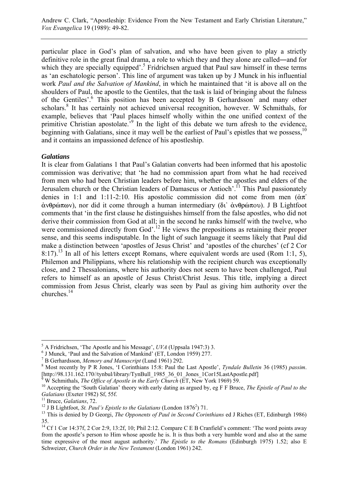particular place in God's plan of salvation, and who have been given to play a strictly definitive role in the great final drama, a role to which they and they alone are called―and for which they are specially equipped'.<sup>5</sup> Fridrichsen argued that Paul saw himself in these terms as 'an eschatologic person'. This line of argument was taken up by J Munck in his influential work *Paul and the Salvation of Mankind*, in which he maintained that 'it is above all on the shoulders of Paul, the apostle to the Gentiles, that the task is laid of bringing about the fulness of the Gentiles'.<sup>6</sup> This position has been accepted by B Gerhardsson<sup>7</sup> and many other scholars.<sup>8</sup> It has certainly not achieved universal recognition, however. W Schmithals, for example, believes that 'Paul places himself wholly within the one unified context of the primitive Christian apostolate.<sup>59</sup> In the light of this debate we turn afresh to the evidence, beginning with Galatians, since it may well be the earliest of Paul's epistles that we possess,<sup>10</sup> and it contains an impassioned defence of his apostleship.

### *Galatians*

It is clear from Galatians 1 that Paul's Galatian converts had been informed that his apostolic commission was derivative; that 'he had no commission apart from what he had received from men who had been Christian leaders before him, whether the apostles and elders of the Jerusalem church or the Christian leaders of Damascus or Antioch'.<sup>11</sup> This Paul passionately denies in 1:1 and 1:11-2:10. His apostolic commission did not come from men  $(\alpha \pi)^2$  $\dot{\alpha}$ νθρώπων), nor did it come through a human intermediary (δι' άνθρώπου). J B Lightfoot comments that 'in the first clause he distinguishes himself from the false apostles, who did not derive their commission from God at all; in the second he ranks himself with the twelve, who were commissioned directly from God'.<sup>12</sup> He views the prepositions as retaining their proper sense, and this seems indisputable. In the light of such language it seems likely that Paul did make a distinction between 'apostles of Jesus Christ' and 'apostles of the churches' (cf 2 Cor 8:17).<sup>13</sup> In all of his letters except Romans, where equivalent words are used (Rom 1:1, 5), Philemon and Philippians, where his relationship with the recipient church was exceptionally close, and 2 Thessalonians, where his authority does not seem to have been challenged, Paul refers to himself as an apostle of Jesus Christ/Christ Jesus. This title, implying a direct commission from Jesus Christ, clearly was seen by Paul as giving him authority over the churches.14

 $\overline{a}$  $^5$  A Fridrichsen, 'The Apostle and his Message', *UVA* (Uppsala 1947:3) 3.

J Munck, 'Paul and the Salvation of Mankind' (ET, London 1959) 277.

<sup>&</sup>lt;sup>7</sup> B Gerhardsson, *Memory and Manuscript* (Lund 1961) 292.

Most recently by P R Jones, 'I Corinthians 15:8: Paul the Last Apostle', *Tyndale Bulletin* 36 (1985) *passim*. [http://98.131.162.170//tynbul/library/TynBull\_1985\_36\_01\_Jones\_1Cor15LastApostle.pdf]<br><sup>9</sup> W Schmithele, *The Office of Apostle in the Earth Church* (ET, Now York 1960) 50

<sup>&</sup>lt;sup>9</sup> W Schmithals, *The Office of Apostle in the Early Church* (ET, New York 1969) 59.<br><sup>10</sup> Accepting the 'South Galatian' theory with early dating as argued by, eg F F Bruce, *The Epistle of Paul to the Galatians* (Exeter 1982) Sf, 55f.<br><sup>11</sup> Bruce, *Galatians*, 72.<br><sup>12</sup> J B Lightfoot, *St. Paul's Epistle to the Galatians* (London 1876<sup>2</sup>) 71.

<sup>&</sup>lt;sup>13</sup> This is denied by D Georgi, *The Opponents of Paul in Second Corinthians* ed J Riches (ET, Edinburgh 1986) 35.

<sup>&</sup>lt;sup>14</sup> Cf 1 Cor 14:37f, 2 Cor 2:9, 13:2f, 10; Phil 2:12. Compare C E B Cranfield's comment: 'The word points away from the apostle's person to Him whose apostle he is. It is thus both a very humble word and also at the same time expressive of the most august authority.' *The Epistle to the Romans* (Edinburgh 1975) 1.52; also E Schweizer, *Church Order in the New Testament* (London 1961) 242.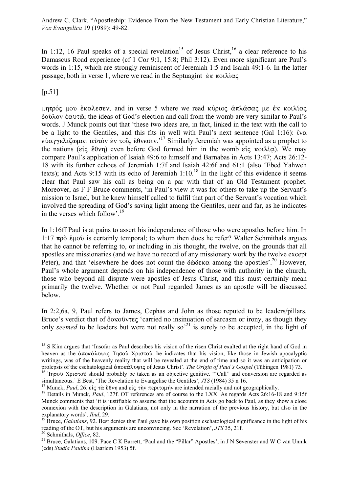In 1:12, 16 Paul speaks of a special revelation<sup>15</sup> of Jesus Christ,<sup>16</sup> a clear reference to his Damascus Road experience (cf 1 Cor 9:1, 15:8; Phil 3:12). Even more significant are Paul's words in 1:15, which are strongly reminiscent of Jeremiah 1:5 and Isaiah 49:1-6. In the latter passage, both in verse 1, where we read in the Septuagint  $\epsilon \kappa$  κοιλίας

 $[p.51]$ 

 $\mu$ mτρός μου έκαλεσεν; and in verse 5 where we read κύριος άπλάσας με έκ κοιλίας δούλον επαυτώ; the ideas of God's election and call from the womb are very similar to Paul's words. J Munck points out that 'these two ideas are, in fact, linked in the text with the call to be a light to the Gentiles, and this fits in well with Paul's next sentence (Gal 1:16):  $\tilde{v} \propto$ eὐαγγελιζωμαι αὐτὸν ἐν τοῖς ἔθνεσιν.<sup>'17</sup> Similarly Jeremiah was appointed as a prophet to the nations ( $\epsilon i \zeta \xi \theta \nu \eta$ ) even before God formed him in the womb  $\epsilon i \zeta \kappa o(\lambda i \alpha)$ . We may compare Paul's application of Isaiah 49:6 to himself and Barnabas in Acts 13:47; Acts 26:12- 18 with its further echoes of Jeremiah 1:7f and Isaiah 42:6f and 61:1 (also 'Ebed Yahweh texts); and Acts 9:15 with its echo of Jeremiah  $1:10^{18}$  In the light of this evidence it seems clear that Paul saw his call as being on a par with that of an Old Testament prophet. Moreover, as F F Bruce comments, 'in Paul's view it was for others to take up the Servant's mission to Israel, but he knew himself called to fulfil that part of the Servant's vocation which involved the spreading of God's saving light among the Gentiles, near and far, as he indicates in the verses which follow'.19

In 1:16ff Paul is at pains to assert his independence of those who were apostles before him. In 1:17  $\pi \rho \delta$   $\dot{\epsilon} \mu \sigma \delta$  is certainly temporal; to whom then does he refer? Walter Schmithals argues that he cannot be referring to, or including in his thought, the twelve, on the grounds that all apostles are missionaries (and we have no record of any missionary work by the twelve except Peter), and that 'elsewhere he does not count the  $\delta \omega \delta \epsilon \kappa \alpha$  among the apostles'.<sup>20</sup> However, Paul's whole argument depends on his independence of those with authority in the church, those who beyond all dispute were apostles of Jesus Christ, and this must certainly mean primarily the twelve. Whether or not Paul regarded James as an apostle will be discussed below.

In 2:2,6a, 9, Paul refers to James, Cephas and John as those reputed to be leaders/pillars. Bruce's verdict that of  $\delta$ οκοῦντες 'carried no insinuation of sarcasm or irony, as though they only *seemed* to be leaders but were not really so<sup>21</sup> is surely to be accepted, in the light of

 $\overline{a}$ <sup>15</sup> S Kim argues that 'Insofar as Paul describes his vision of the risen Christ exalted at the right hand of God in heaven as the ἀποκάλυψις 'Iησοῦ Χριστοῦ, he indicates that his vision, like those in Jewish apocalyptic writings, was of the heavenly reality that will be revealed at the end of time and so it was an anticipation or

prolepsis of the eschatological ἀποκάλυψις of Jesus Christ'. *The Origin of Paul's Gospel* (Tübingen 1981) 73.<br><sup>16</sup> 'Iησοῦ Χριστοῦ should probably be taken as an objective genitive. "'Call" and conversion are regarded as

<sup>&</sup>lt;sup>17</sup> Munck, Paul, 26. είς τὰ ἔθνη and είς τὴν περιτομήν are intended racially and not geographically.<br><sup>18</sup> Details in Munck, Paul, 127f. OT references are of course to the LXX. As regards Acts 26:16-18 and 9:15f

Munck comments that 'it is justifiable to assume that the accounts in Acts go back to Paul, as they show a close connexion with the description in Galatians, not only in the narration of the previous history, but also in the explanatory words'. *Ibid*, 29.<br><sup>19</sup> Bruce, *Galatians*, 92. Best denies that Paul gave his own position eschatological significance in the light of his

reading of the OT, but his arguments are unconvincing. See 'Revelation', JTS 35, 21f.<br><sup>20</sup> Schmithals, *Office*, 82.<br><sup>21</sup> Bruce, Galatians, 109. Pace C K Barrett, 'Paul and the "Pillar" Apostles', in J N Sevenster and W C

<sup>(</sup>eds) *Studia Paulina* (Haarlem 1953) 5f.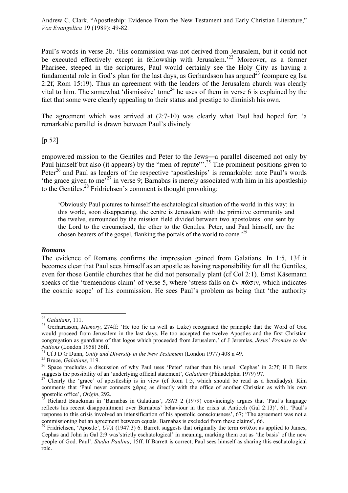Paul's words in verse 2b. 'His commission was not derived from Jerusalem, but it could not be executed effectively except in fellowship with Jerusalem.<sup>22</sup> Moreover, as a former Pharisee, steeped in the scriptures, Paul would certainly see the Holy City as having a fundamental role in God's plan for the last days, as Gerhardsson has argued<sup>23</sup> (compare eg Isa 2:2f, Rom 15:19). Thus an agreement with the leaders of the Jerusalem church was clearly vital to him. The somewhat 'dismissive' tone<sup>24</sup> he uses of them in verse 6 is explained by the fact that some were clearly appealing to their status and prestige to diminish his own.

The agreement which was arrived at (2:7-10) was clearly what Paul had hoped for: 'a remarkable parallel is drawn between Paul's divinely

[p.52]

empowered mission to the Gentiles and Peter to the Jews―a parallel discerned not only by Paul himself but also (it appears) by the "men of repute"<sup>25</sup> The prominent positions given to Peter<sup>26</sup> and Paul as leaders of the respective 'apostleships' is remarkable: note Paul's words 'the grace given to me'27 in verse 9; Barnabas is merely associated with him in his apostleship to the Gentiles.<sup>28</sup> Fridrichsen's comment is thought provoking:

'Obviously Paul pictures to himself the eschatological situation of the world in this way: in this world, soon disappearing, the centre is Jerusalem with the primitive community and the twelve, surrounded by the mission field divided between two apostolates: one sent by the Lord to the circumcised, the other to the Gentiles. Peter, and Paul himself, are the chosen bearers of the gospel, flanking the portals of the world to come.<sup>29</sup>

# *Romans*

The evidence of Romans confirms the impression gained from Galatians. In 1:5, 13f it becomes clear that Paul sees himself as an apostle as having responsibility for all the Gentiles, even for those Gentile churches that he did not personally plant (cf Col 2:1). Ernst Käsemann speaks of the 'tremendous claim' of verse 5, where 'stress falls on  $\dot{\epsilon}v \pi \hat{\alpha} \sigma \omega$ , which indicates the cosmic scope' of his commission. He sees Paul's problem as being that 'the authority

 $22$  Galatians, 111.

<sup>&</sup>lt;sup>23</sup> Gerhardsson, *Memory*, 274ff: 'He too (ie as well as Luke) recognised the principle that the Word of God would proceed from Jerusalem in the last days. He too accepted the twelve Apostles and the first Christian congregation as guardians of that logos which proceeded from Jerusalem.' cf J Jeremias, *Jesus' Promise to the* 

<sup>&</sup>lt;sup>24</sup> Cf J D G Dunn, *Unity and Diversity in the New Testament* (London 1977) 408 n 49.<br><sup>25</sup> Bruce, *Galatians*, 119.<br><sup>26</sup> Space precludes a discussion of why Paul uses 'Peter' rather than his usual 'Cephas' in 2:7f; H D Be

<sup>&</sup>lt;sup>27</sup> Clearly the 'grace' of apostleship is in view (cf Rom 1:5, which should be read as a hendiadys). Kim comments that 'Paul never connects  $\chi \acute{\alpha}$  as directly with the office of another Christian as with his own apostolic office', *Origin*, 292.

apostolic office', *Origin*, 292. 28 Richard Bauckman in 'Barnabas in Galatians', *JSNT* 2 (1979) convincingly argues that 'Paul's language reflects his recent disappointment over Barnabas' behaviour in the crisis at Antioch (Gal 2:13)', 61; 'Paul's response to this crisis involved an intensification of his apostolic consciousness', 67; 'The agreement was not a commissioning but an agreement between equals. Barnabas is excluded from these claims', 66.<br><sup>29</sup> Fridrichsen, 'Apostle', *UVA* (1947:3) 6. Barrett suggests that originally the term  $\sigma \tau \hat{\omega} \lambda \omega$  as applied to James,

Cephas and John in Gal 2:9 was'strictly eschatological' in meaning, marking them out as 'the basis' of the new people of God. Paul', *Studia Paulina*, 15ff. If Barrett is correct, Paul sees himself as sharing this eschatological role.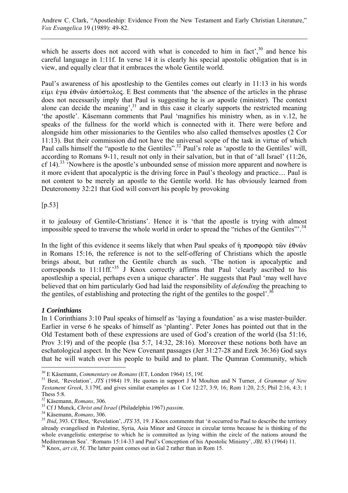which he asserts does not accord with what is conceded to him in fact,  $30^{\circ}$  and hence his careful language in 1:11f. In verse 14 it is clearly his special apostolic obligation that is in view, and equally clear that it embraces the whole Gentile world.

Paul's awareness of his apostleship to the Gentiles comes out clearly in 11:13 in his words  $\epsilon$  iµ  $\epsilon$   $\gamma$   $\omega$   $\epsilon$   $\theta$   $\omega$   $\omega$   $\alpha$   $\alpha$   $\alpha$   $\alpha$ . E Best comments that 'the absence of the articles in the phrase does not necessarily imply that Paul is suggesting he is *an* apostle (minister). The context alone can decide the meaning', $31$  and in this case it clearly supports the restricted meaning 'the apostle'. Käsemann comments that Paul 'magnifies his ministry when, as in v.12, he speaks of the fullness for the world which is connected with it. There were before and alongside him other missionaries to the Gentiles who also called themselves apostles (2 Cor 11:13). But their commission did not have the universal scope of the task in virtue of which Paul calls himself the "apostle to the Gentiles".<sup>32</sup> Paul's role as 'apostle to the Gentiles' will, according to Romans 9-11, result not only in their salvation, but in that of 'all Israel' (11:26, cf 14).<sup>33</sup> 'Nowhere is the apostle's unbounded sense of mission more apparent and nowhere is it more evident that apocalyptic is the driving force in Paul's theology and practice.... Paul is not content to be merely an apostle to the Gentile world. He has obviously learned from Deuteronomy 32:21 that God will convert his people by provoking

 $[p.53]$ 

it to jealousy of Gentile-Christians'. Hence it is 'that the apostle is trying with almost impossible speed to traverse the whole world in order to spread the "riches of the Gentiles"<sup>34</sup>

In the light of this evidence it seems likely that when Paul speaks of  $\hat{\eta}$  προσφορά τῶν έθνῶν in Romans 15:16, the reference is not to the self-offering of Christians which the apostle brings about, but rather the Gentile church as such. 'The notion is apocalyptic and corresponds to 11:11ff.<sup>35</sup> J Knox correctly affirms that Paul 'clearly ascribed to his apostleship a special, perhaps even a unique character'. He suggests that Paul 'may well have believed that on him particularly God had laid the responsibility of *defending* the preaching to the gentiles, of establishing and protecting the right of the gentiles to the gospel'.<sup>36</sup>

# *1 Corinthians*

 $\overline{a}$ 

In 1 Corinthians 3:10 Paul speaks of himself as 'laying a foundation' as a wise master-builder. Earlier in verse 6 he speaks of himself as 'planting'. Peter Jones has pointed out that in the Old Testament both of these expressions are used of God's creation of the world (Isa 51:16, Prov 3:19) and of the people (Isa 5:7, 14:32, 28:16). Moreover these notions both have an eschatological aspect. In the New Covenant passages (Jer 31:27-28 and Ezek 36:36) God says that he will watch over his people to build and to plant. The Qumran Community, which

<sup>&</sup>lt;sup>30</sup> E Käsemann, *Commentary on Romans* (ET, London 1964) 15, 19f.<br><sup>31</sup> Best, 'Revelation', *JTS* (1984) 19. He quotes in support J M Moulton and N Turner, *A Grammar of New Testament Greek*, 3.179f, and gives similar examples as 1 Cor 12:27, 3:9, 16; Rom 1:20, 2:5; Phil 2:16, 4:3; 1 Thess 5:8.<br><sup>32</sup> Käsemann, *Romans*, 306.

<sup>&</sup>lt;sup>33</sup> Cf J Munck, *Christ and Israel* (Philadelphia 1967) *passim*.<br><sup>34</sup> Käsemann, *Romans*, 306.<br><sup>35</sup> *Ibid*, 393. Cf Best, 'Revelation', *JTS* 35, 19. J Knox comments that 'it occurred to Paul to describe the territory already evangelised in Palestine, Syria, Asia Minor and Greece in circular terms because he is thinking of the whole evangelistic enterprise to which he is committed as lying within the circle of the nations around the Mediterranean Sea'. 'Romans 15:14-33 and Paul's Conception of his Apostolic Ministry', *JBL* 83 (1964) 11. <sup>36</sup> Knox, *art cit*, 5f. The latter point comes out in Gal 2 rather than in Rom 15.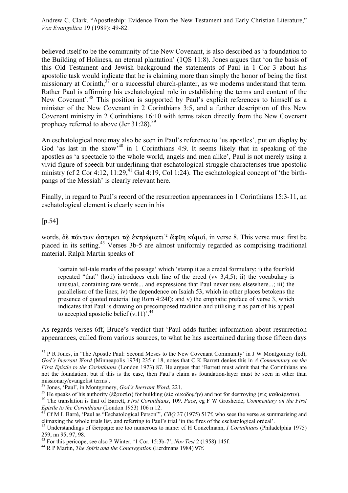believed itself to be the community of the New Covenant, is also described as 'a foundation to the Building of Holiness, an eternal plantation' (1QS 11:8). Jones argues that 'on the basis of this Old Testament and Jewish background the statements of Paul in 1 Cor 3 about his apostolic task would indicate that he is claiming more than simply the honor of being the first missionary at Corinth, $37$  or a successful church-planter, as we moderns understand that term. Rather Paul is affirming his eschatological role in establishing the terms and content of the New Covenant'.<sup>38</sup> This position is supported by Paul's explicit references to himself as a minister of the New Covenant in 2 Corinthians 3:5, and a further description of this New Covenant ministry in 2 Corinthians 16:10 with terms taken directly from the New Covenant prophecy referred to above (Jer  $31:28$ ).<sup>39</sup>

An eschatological note may also be seen in Paul's reference to 'us apostles', put on display by God 'as last in the show'<sup>40</sup> in 1 Corinthians 4:9. It seems likely that in speaking of the apostles as 'a spectacle to the whole world, angels and men alike', Paul is not merely using a vivid figure of speech but underlining that eschatological struggle characterises true apostolic ministry (cf 2 Cor 4:12,  $11:29<sup>41</sup>$  Gal 4:19, Col 1:24). The eschatological concept of 'the birthpangs of the Messiah' is clearly relevant here.

Finally, in regard to Paul's record of the resurrection appearances in 1 Corinthians 15:3-11, an eschatological element is clearly seen in his

[p.54]

 $\overline{a}$ 

words, δε πάντων ώστερει τῷ ἐκτρώματι<sup>42</sup> ὤφθη κἀμοί, in verse 8. This verse must first be placed in its setting.43 Verses 3b-5 are almost uniformly regarded as comprising traditional material. Ralph Martin speaks of

'certain tell-tale marks of the passage' which 'stamp it as a credal formulary: i) the fourfold repeated "that" (hoti) introduces each line of the creed (vv 3,4,5); ii) the vocabulary is unusual, containing rare words... and expressions that Paul never uses elsewhere...; iii) the parallelism of the lines; iv) the dependence on Isaiah 53, which in other places betokens the presence of quoted material (eg Rom 4:24f); and v) the emphatic preface of verse 3, which indicates that Paul is drawing on precomposed tradition and utilising it as part of his appeal to accepted apostolic belief  $(v.11)$ .<sup>44</sup>

As regards verses 6ff, Bruce's verdict that 'Paul adds further information about resurrection appearances, culled from various sources, to what he has ascertained during those fifteen days

 $37$  P R Jones, in 'The Apostle Paul: Second Moses to the New Covenant Community' in J W Montgomery (ed), *God's Inerrant Word* (Minneapolis 1974) 235 n 18, notes that C K Barrett denies this in *A Commentary on the First Epistle to the Corinthians* (London 1973) 87. He argues that 'Barrett must admit that the Corinthians are not the foundation, but if this is the case, then Paul's claim as foundation-layer must be seen in other than missionary/evangelist terms'.<br><sup>38</sup> Jones, 'Paul', in Montgomery, God's Inerrant Word, 221.

<sup>&</sup>lt;sup>39</sup> He speaks of his authority ( $\epsilon \xi$ ουσία) for building (εἰς οἰκοδομήν) and not for destroying (εἰς καθαίρεσιν).<br><sup>40</sup> The translation is that of Barrett, *First Corinthians*, 109. *Pace*, eg F W Grosheide, *Commentary* 

*Epistic to the Corinthians* (London 1953) 106 n 12.<br><sup>41</sup> Cf M L Barré, 'Paul as "Eschatological Person"', *CBQ* 37 (1975) 517f, who sees the verse as summarising and climaxing the whole trials list, and referring to Paul'

<sup>&</sup>lt;sup>42</sup> Understandings of ἔκτρωμα are too numerous to name: cf H Conzelmann, *I Corinthians* (Philadelphia 1975) 259, nn 95, 97, 98.

<sup>43</sup> For this pericope, see also P Winter, '1 Cor. 15:3b-7', *Nov Test* 2 (1958) 145f. 44 R P Martin, *The Spirit and the Congregation* (Eerdmans 1984) 97f.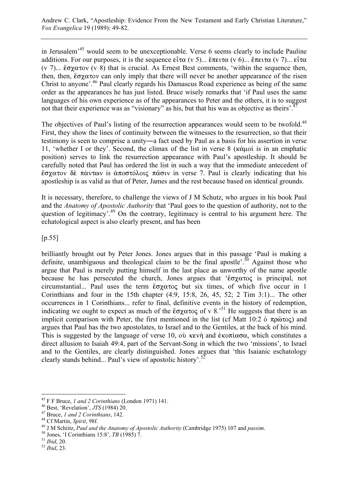in Jerusalem'45 would seem to be unexceptionable. Verse 6 seems clearly to include Pauline additions. For our purposes, it is the sequence  $\epsilon \hat{i} \tau \alpha$  (v 5)...  $\check{\epsilon} \pi \epsilon \tau \alpha$  (v 6)...  $\check{\epsilon} \pi \epsilon \tau \alpha$  (v 7)...  $\epsilon \hat{i} \tau \alpha$ (v 7)...  $\zeta \sigma \chi \alpha \tau \omega$  (v 8) that is crucial. As Ernest Best comments, 'within the sequence then, then, then,  $\zeta \sigma \chi \alpha \tau$  can only imply that there will never be another appearance of the risen Christ to anyone'.46 Paul clearly regards his Damascus Road experience as being of the same order as the appearances he has just listed. Bruce wisely remarks that 'if Paul uses the same languages of his own experience as of the appearances to Peter and the others, it is to suggest not that their experience was as "visionary" as his, but that his was as objective as theirs'.<sup>4</sup>

The objectives of Paul's listing of the resurrection appearances would seem to be twofold.<sup>48</sup> First, they show the lines of continuity between the witnesses to the resurrection, so that their testimony is seen to comprise a unity―a fact used by Paul as a basis for his assertion in verse 11, 'whether I or they'. Second, the climax of the list in verse  $8$  ( $\kappa \dot{\alpha} \mu$ oi is in an emphatic position) serves to link the resurrection appearance with Paul's apostleship. It should be carefully noted that Paul has ordered the list in such a way that the immediate antecedent of  $\zeta$ ατον δε πάντων is άποστόλοις πάσιν in verse 7. Paul is clearly indicating that his apostleship is as valid as that of Peter, James and the rest because based on identical grounds.

It is necessary, therefore, to challenge the views of J M Schutz, who argues in his book Paul and the *Anatomy of Apostolic Authority* that 'Paul goes to the question of authority, not to the question of legitimacy'.<sup>49</sup> On the contrary, legitimacy is central to his argument here. The echatological aspect is also clearly present, and has been

[p.55]

brilliantly brought out by Peter Jones. Jones argues that in this passage 'Paul is making a definite, unambiguous and theological claim to be the final apostle'.<sup>50</sup> Against those who argue that Paul is merely putting himself in the last place as unworthy of the name apostle because he has persecuted the church, Jones argues that ' $\zeta \sigma \chi \alpha \tau o \varsigma$  is principal, not circumstantial... Paul uses the term  $\zeta \propto \frac{\zeta}{\zeta \chi}$  but six times, of which five occur in 1 Corinthians and four in the 15th chapter  $(4.9, 15.8, 26, 45, 52, 2$  Tim  $3.1)$ ... The other occurrences in 1 Corinthians... refer to final, definitive events in the history of redemption, indicating we ought to expect as much of the  $\zeta \propto \frac{1}{50}$  of v 8.<sup>51</sup> He suggests that there is an implicit comparison with Peter, the first mentioned in the list (cf Matt 10:2  $\delta$   $\pi \rho \hat{\omega} \tau \circ c$ ) and argues that Paul has the two apostolates, to Israel and to the Gentiles, at the back of his mind. This is suggested by the language of verse 10, où kevn and  $\epsilon$  ko $\pi$  i $\alpha$  or, which constitutes a direct allusion to Isaiah 49:4, part of the Servant-Song in which the two 'missions', to Israel and to the Gentiles, are clearly distinguished. Jones argues that 'this Isaianic eschatology clearly stands behind... Paul's view of apostolic history'.52

 $\overline{a}$ 

<sup>&</sup>lt;sup>45</sup> F F Bruce, *1 and 2 Corinthians* (London 1971) 141.<br>
<sup>46</sup> Best, 'Revelation', *JTS* (1984) 20.<br>
<sup>47</sup> Bruce, *1 and 2 Corinthians*, 142.<br>
<sup>48</sup> Cf Martin, *Spirit*, 98f.<br>
<sup>49</sup> J M Schitz, *Paul and the Anatomy of Apost*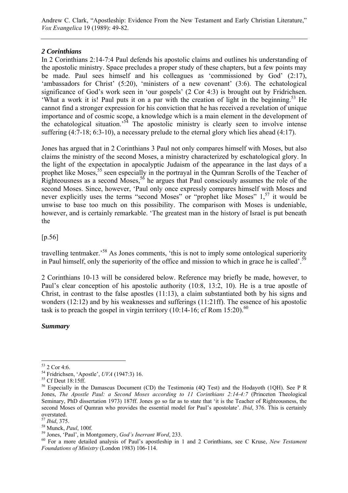Andrew C. Clark, "Apostleship: Evidence From the New Testament and Early Christian Literature," *Vox Evangelica* 19 (1989): 49-82.

# *2 Corinthians*

In 2 Corinthians 2:14-7:4 Paul defends his apostolic claims and outlines his understanding of the apostolic ministry. Space precludes a proper study of these chapters, but a few points may be made. Paul sees himself and his colleagues as 'commissioned by God' (2:17), 'ambassadors for Christ' (5:20), 'ministers of a new covenant' (3:6). The echatological significance of God's work seen in 'our gospels' (2 Cor 4:3) is brought out by Fridrichsen. 'What a work it is! Paul puts it on a par with the creation of light in the beginning.<sup>53</sup> He cannot find a stronger expression for his conviction that he has received a revelation of unique importance and of cosmic scope, a knowledge which is a main element in the development of the echatological situation.<sup>54</sup> The apostolic ministry is clearly seen to involve intense suffering (4:7-18; 6:3-10), a necessary prelude to the eternal glory which lies ahead (4:17).

Jones has argued that in 2 Corinthians 3 Paul not only compares himself with Moses, but also claims the ministry of the second Moses, a ministry characterized by eschatological glory. In the light of the expectation in apocalyptic Judaism of the appearance in the last days of a prophet like Moses,<sup>55</sup> seen especially in the portrayal in the Qumran Scrolls of the Teacher of Righteousness as a second Moses,<sup>56</sup> he argues that Paul consciously assumes the role of the second Moses. Since, however, 'Paul only once expressly compares himself with Moses and never explicitly uses the terms "second Moses" or "prophet like Moses" 1,<sup>57</sup> it would be unwise to base too much on this possibility. The comparison with Moses is undeniable, however, and is certainly remarkable. 'The greatest man in the history of Israel is put beneath the

[p.56]

travelling tentmaker.'58 As Jones comments, 'this is not to imply some ontological superiority in Paul himself, only the superiority of the office and mission to which in grace he is called'.<sup>59</sup>

2 Corinthians 10-13 will be considered below. Reference may briefly be made, however, to Paul's clear conception of his apostolic authority (10:8, 13:2, 10). He is a true apostle of Christ, in contrast to the false apostles (11:13), a claim substantiated both by his signs and wonders (12:12) and by his weaknesses and sufferings (11:21ff). The essence of his apostolic task is to preach the gospel in virgin territory  $(10:14-16)$ ; cf Rom  $15:20$ .<sup>60</sup>

*Summary* 

 $\overline{a}$ 53 2 Cor 4:6.

<sup>54</sup> Fridrichsen, 'Apostle', *UVA* (1947:3) 16. 55 Cf Deut 18:15ff.

<sup>&</sup>lt;sup>56</sup> Especially in the Damascus Document (CD) the Testimonia (4Q Test) and the Hodayoth (1QH). See P R Jones, *The Apostle Paul: a Second Moses according to 11 Corinthians 2:14-4:7* (Princeton Theological Seminary, PhD dissertation 1973) 187ff. Jones go so far as to state that 'it is the Teacher of Righteousness, the second Moses of Qumran who provides the essential model for Paul's apostolate'. *Ibid*, 376. This is certainly overstated.<br><sup>57</sup> *Ibid*, 375.

<sup>&</sup>lt;sup>58</sup> Munck, *Paul*, 100f.<br><sup>59</sup> Jones, 'Paul', in Montgomery, *God's Inerrant Word*, 233.<br><sup>60</sup> For a more detailed analysis of Paul's apostleship in 1 and 2 Corinthians, see C Kruse, *New Testament Foundations of Ministry* (London 1983) 106-114.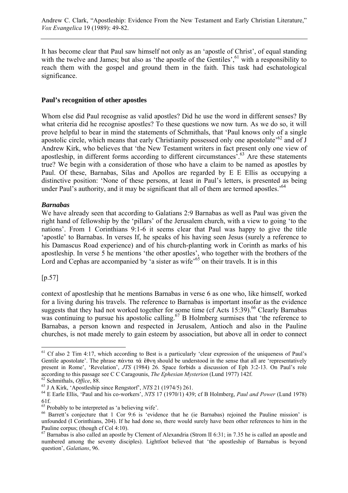It has become clear that Paul saw himself not only as an 'apostle of Christ', of equal standing with the twelve and James; but also as 'the apostle of the Gentiles', $61$  with a responsibility to reach them with the gospel and ground them in the faith. This task had eschatological significance.

### **Paul's recognition of other apostles**

Whom else did Paul recognise as valid apostles? Did he use the word in different senses? By what criteria did he recognise apostles? To these questions we now turn. As we do so, it will prove helpful to bear in mind the statements of Schmithals, that 'Paul knows only of a single apostolic circle, which means that early Christianity possessed only one apostolate<sup> $62$ </sup> and of J Andrew Kirk, who believes that 'the New Testament writers in fact present only one view of apostleship, in different forms according to different circumstances'.63 Are these statements true? We begin with a consideration of those who have a claim to be named as apostles by Paul. Of these, Barnabas, Silas and Apollos are regarded by E E Ellis as occupying a distinctive position: 'None of these persons, at least in Paul's letters, is presented as being under Paul's authority, and it may be significant that all of them are termed apostles.<sup>64</sup>

# *Barnabas*

We have already seen that according to Galatians 2:9 Barnabas as well as Paul was given the right hand of fellowship by the 'pillars' of the Jerusalem church, with a view to going 'to the nations'. From 1 Corinthians 9:1-6 it seems clear that Paul was happy to give the title 'apostle' to Barnabas. In verses If, he speaks of his having seen Jesus (surely a reference to his Damascus Road experience) and of his church-planting work in Corinth as marks of his apostleship. In verse 5 he mentions 'the other apostles', who together with the brothers of the Lord and Cephas are accompanied by 'a sister as wife'<sup>65</sup> on their travels. It is in this

# [p.57]

 $\overline{a}$ 

context of apostleship that he mentions Barnabas in verse 6 as one who, like himself, worked for a living during his travels. The reference to Barnabas is important insofar as the evidence suggests that they had not worked together for some time (cf Acts  $15:39$ ).<sup>66</sup> Clearly Barnabas was continuing to pursue his apostolic calling.<sup>67</sup> B Holmberg surmises that 'the reference to Barnabas, a person known and respected in Jerusalem, Antioch and also in the Pauline churches, is not made merely to gain esteem by association, but above all in order to connect

<sup>&</sup>lt;sup>61</sup> Cf also 2 Tim 4:17, which according to Best is a particularly 'clear expression of the uniqueness of Paul's Gentile apostolate'. The phrase  $\pi \& \nu \alpha \times \hat{\alpha} \& \theta \vee \eta$  should be understood in the sense that all are 'representatively present in Rome', 'Revelation', *JTS* (1984) 26. Space forbids a discussion of Eph 3:2-13. On Paul's role according to this passage see C C Caragounis, *The Ephesian Mysterion* (Lund 1977) 142f.<br>
<sup>62</sup> Schmithals, *Office*, 88.<br>
<sup>63</sup> J A Kirk, 'Apostleship since Rengstorf', *NTS* 21 (1974/5) 261.<br>
<sup>64</sup> E Earle Ellis, 'Paul and

<sup>61</sup>f.

<sup>&</sup>lt;sup>65</sup> Probably to be interpreted as 'a believing wife'.

<sup>&</sup>lt;sup>66</sup> Barrett's conjecture that 1 Cor 9:6 is 'evidence that he (ie Barnabas) rejoined the Pauline mission' is unfounded (I Corinthians, 204). If he had done so, there would surely have been other references to him in the Pauline corpus; (though cf Col 4:10).

 $67$  Barnabas is also called an apostle by Clement of Alexandria (Strom II 6:31; in 7.35 he is called an apostle and numbered among the seventy disciples). Lightfoot believed that 'the apostleship of Barnabas is beyond question', *Galatians*, 96.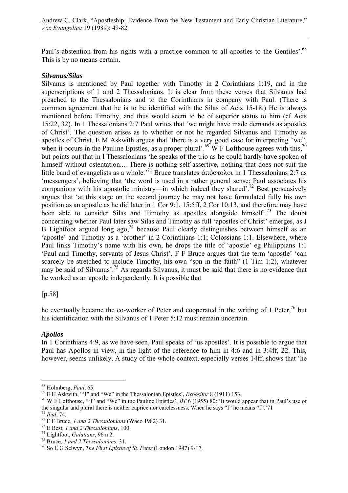Paul's abstention from his rights with a practice common to all apostles to the Gentiles'.<sup>68</sup> This is by no means certain.

### *Silvanus/Silas*

Silvanus is mentioned by Paul together with Timothy in 2 Corinthians 1:19, and in the superscriptions of 1 and 2 Thessalonians. It is clear from these verses that Silvanus had preached to the Thessalonians and to the Corinthians in company with Paul. (There is common agreement that he is to be identified with the Silas of Acts 15-18.) He is always mentioned before Timothy, and thus would seem to be of superior status to him (cf Acts 15:22, 32). In 1 Thessalonians 2:7 Paul writes that 'we might have made demands as apostles of Christ'. The question arises as to whether or not he regarded Silvanus and Timothy as apostles of Christ. E M Askwith argues that 'there is a very good case for interpreting "we", when it occurs in the Pauline Epistles, as a proper plural'.<sup>69</sup> W F Lofthouse agrees with this,<sup>70</sup> but points out that in l Thessalonians 'he speaks of the trio as he could hardly have spoken of himself without ostentation.... There is nothing self-assertive, nothing that does not suit the little band of evangelists as a whole.<sup>71</sup> Bruce translates  $\alpha \pi \omega \sigma \tau \omega \omega$  in 1 Thessalonians 2:7 as 'messengers', believing that 'the word is used in a rather general sense: Paul associates his companions with his apostolic ministry—in which indeed they shared'.<sup>72</sup> Best persuasively argues that 'at this stage on the second journey he may not have formulated fully his own position as an apostle as he did later in 1 Cor 9:1, 15:5ff, 2 Cor 10:13, and therefore may have been able to consider Silas and Timothy as apostles alongside himself<sup>73</sup>. The doubt concerning whether Paul later saw Silas and Timothy as full 'apostles of Christ' emerges, as J B Lightfoot argued long ago,<sup>74</sup> because Paul clearly distinguishes between himself as an 'apostle' and Timothy as a 'brother' in 2 Corinthians 1:1; Colossians 1:1. Elsewhere, where Paul links Timothy's name with his own, he drops the title of 'apostle' eg Philippians 1:1 'Paul and Timothy, servants of Jesus Christ'. F F Bruce argues that the term 'apostle' 'can scarcely be stretched to include Timothy, his own "son in the faith" (1 Tim 1:2), whatever may be said of Silvanus'.75 As regards Silvanus, it must be said that there is no evidence that he worked as an apostle independently. It is possible that

# [p.58]

he eventually became the co-worker of Peter and cooperated in the writing of 1 Peter,<sup>76</sup> but his identification with the Silvanus of 1 Peter 5:12 must remain uncertain.

# *Apollos*

In 1 Corinthians 4:9, as we have seen, Paul speaks of 'us apostles'. It is possible to argue that Paul has Apollos in view, in the light of the reference to him in 4:6 and in 3:4ff, 22. This, however, seems unlikely. A study of the whole context, especially verses 14ff, shows that 'he

<sup>&</sup>lt;sup>68</sup> Holmberg, Paul, 65.

<sup>&</sup>lt;sup>69</sup> E H Askwith, "'I" and "We" in the Thessalonian Epistles', *Expositor* 8 (1911) 153.<br><sup>70</sup> W F Lofthouse, "'I" and "We" in the Pauline Epistles', *BT* 6 (1955) 80: 'It would appear that in Paul's use of the singular and plural there is neither caprice nor carelessness. When he says "I" he means "I".'71<br>
<sup>71</sup> *Ibid*, 74.<br>
<sup>72</sup> F F Bruce, *1 and 2 Thessalonians* (Waco 1982) 31.<br>
<sup>73</sup> E Best, *1 and 2 Thessalonians*, 100.<br>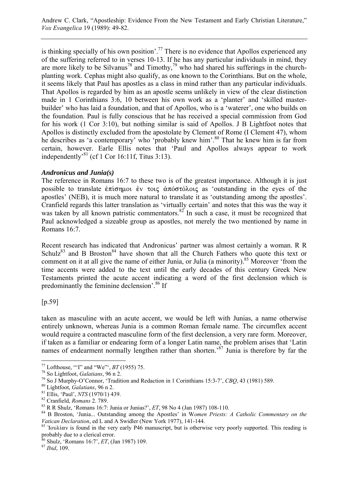Andrew C. Clark, "Apostleship: Evidence From the New Testament and Early Christian Literature," *Vox Evangelica* 19 (1989): 49-82.

is thinking specially of his own position'.<sup>77</sup> There is no evidence that Apollos experienced any of the suffering referred to in verses 10-13. If he has any particular individuals in mind, they are more likely to be Silvanus<sup>78</sup> and Timothy,<sup>79</sup> who had shared his sufferings in the churchplanting work. Cephas might also qualify, as one known to the Corinthians. But on the whole, it seems likely that Paul has apostles as a class in mind rather than any particular individuals. That Apollos is regarded by him as an apostle seems unlikely in view of the clear distinction made in 1 Corinthians 3:6, 10 between his own work as a 'planter' and 'skilled masterbuilder' who has laid a foundation, and that of Apollos, who is a 'waterer', one who builds on the foundation. Paul is fully conscious that he has received a special commission from God for his work (1 Cor 3:10), but nothing similar is said of Apollos. J B Lightfoot notes that Apollos is distinctly excluded from the apostolate by Clement of Rome (I Clement 47), whom he describes as 'a contemporary' who 'probably knew him'.<sup>80</sup> That he knew him is far from certain, however. Earle Ellis notes that 'Paul and Apollos always appear to work independently'81 (cf 1 Cor 16:11f, Titus 3:13).

#### *Andronicus and Junia(s)*

The reference in Romans 16:7 to these two is of the greatest importance. Although it is just possible to translate  $\epsilon \pi i \sigma \eta \mu o \nu \dot{\epsilon} v$   $\tau o \nu \zeta \dot{\alpha} \pi \dot{\alpha} \sigma \tau \dot{\alpha} \lambda o \nu \zeta$  as 'outstanding in the eyes of the apostles' (NEB), it is much more natural to translate it as 'outstanding among the apostles'. Cranfield regards this latter translation as 'virtually certain' and notes that this was the way it was taken by all known patristic commentators. $82^{\circ}$  In such a case, it must be recognized that Paul acknowledged a sizeable group as apostles, not merely the two mentioned by name in Romans 16:7.

Recent research has indicated that Andronicus' partner was almost certainly a woman. R R Schulz<sup>83</sup> and B Broston<sup>84</sup> have shown that all the Church Fathers who quote this text or comment on it at all give the name of either Junia, or Julia (a minority).<sup>85</sup> Moreover 'from the time accents were added to the text until the early decades of this century Greek New Testaments printed the acute accent indicating a word of the first declension which is predominantly the feminine declension'.86 If

[p.59]

 $\overline{a}$ 

taken as masculine with an acute accent, we would be left with Junias, a name otherwise entirely unknown, whereas Junia is a common Roman female name. The circumflex accent would require a contracted masculine form of the first declension, a very rare form. Moreover, if taken as a familiar or endearing form of a longer Latin name, the problem arises that 'Latin names of endearment normally lengthen rather than shorten.<sup>87</sup> Junia is therefore by far the

<sup>&</sup>lt;sup>77</sup> Lofthouse, "'I" and "We"', *BT* (1955) 75.<br>
<sup>78</sup> So Lightfoot, *Galatians*, 96 n 2.<br>
<sup>79</sup> So J Murphy-O'Connor, 'Tradition and Redaction in 1 Corinthians 15:3-7', *CBQ*, 43 (1981) 589.<br>
<sup>80</sup> Lightfoot, *Galatians*, 9

<sup>&</sup>lt;sup>85</sup> 'Iov $\lambda$ i $\alpha$  is found in the very early P46 manuscript, but is otherwise very poorly supported. This reading is probably due to a clerical error.

<sup>&</sup>lt;sup>86</sup> Shulz, 'Romans 16:7', *ET*, (Jan 1987) 109.<br><sup>87</sup> *Ibid*, 109.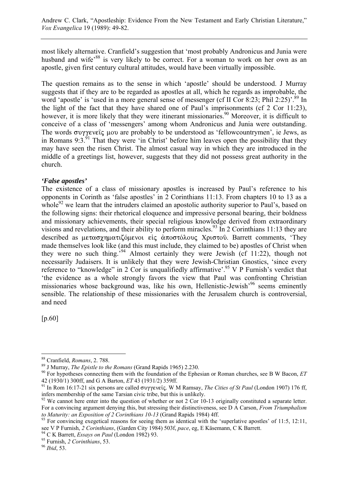most likely alternative. Cranfield's suggestion that 'most probably Andronicus and Junia were husband and wife<sup>'88</sup> is very likely to be correct. For a woman to work on her own as an apostle, given first century cultural attitudes, would have been virtually impossible.

The question remains as to the sense in which 'apostle' should be understood. J Murray suggests that if they are to be regarded as apostles at all, which he regards as improbable, the word 'apostle' is 'used in a more general sense of messenger (cf II Cor 8:23; Phil 2:25)'.<sup>89</sup> In the light of the fact that they have shared one of Paul's imprisonments (cf 2 Cor 11:23), however, it is more likely that they were itinerant missionaries.<sup>90</sup> Moreover, it is difficult to conceive of a class of 'messengers' among whom Andronicus and Junia were outstanding. The words  $\sigma$  vy event  $\mu$  are probably to be understood as 'fellow countrymen', ie Jews, as in Romans 9:3.<sup>91</sup> That they were 'in Christ' before him leaves open the possibility that they may have seen the risen Christ. The almost casual way in which they are introduced in the middle of a greetings list, however, suggests that they did not possess great authority in the church.

### *'False apostles'*

The existence of a class of missionary apostles is increased by Paul's reference to his opponents in Corinth as 'false apostles' in 2 Corinthians 11:13. From chapters 10 to 13 as a whole<sup>92</sup> we learn that the intruders claimed an apostolic authority superior to Paul's, based on the following signs: their rhetorical eloquence and impressive personal bearing, their boldness and missionary achievements, their special religious knowledge derived from extraordinary visions and revelations, and their ability to perform miracles.<sup>93</sup> In 2 Corinthians 11:13 they are described as μετασχηματιζόμενοι είς άποστόλους Χριστού. Barrett comments, 'They made themselves look like (and this must include, they claimed to be) apostles of Christ when they were no such thing.'94 Almost certainly they were Jewish (cf 11:22), though not necessarily Judaisers. It is unlikely that they were Jewish-Christian Gnostics, 'since every reference to "knowledge" in 2 Cor is unqualifiedly affirmative'.<sup>95</sup> V P Furnish's verdict that 'the evidence as a whole strongly favors the view that Paul was confronting Christian missionaries whose background was, like his own, Hellenistic-Jewish'96 seems eminently sensible. The relationship of these missionaries with the Jerusalem church is controversial, and need

[p.60]

 $\overline{a}$ 

<sup>&</sup>lt;sup>88</sup> Cranfield, *Romans*, 2. 788.<br><sup>89</sup> J Murray, *The Epistle to the Romans* (Grand Rapids 1965) 2.230.<br><sup>90</sup> For hypotheses connecting them with the foundation of the Ephesian or Roman churches, see B W Bacon, *ET*<br>42 (193

<sup>&</sup>lt;sup>91</sup> In Rom 16:17-21 six persons are called  $\sigma$ v $\gamma$ eveîç. W M Ramsay, *The Cities of St Paul* (London 1907) 176 ff, infers membership of the same Tarsian civic tribe, but this is unlikely.

<sup>&</sup>lt;sup>92</sup> We cannot here enter into the question of whether or not 2 Cor 10-13 originally constituted a separate letter. For a convincing argument denying this, but stressing their distinctiveness, see D A Carson, *From Triumphalism to Maturity: an Exposition of 2 Corinthians 10-13* (Grand Rapids 1984) 4ff.<br><sup>93</sup> For convincing exegetical reasons for seeing them as identical with the 'superlative apostles' of 11:5, 12:11,

see V P Furnish, *2 Corinthians*, (Garden City 1984) 503f, *pace*, eg, E Käsemann, C K Barrett. 94 C K Barrett, *Essays on Paul* (London 1982) 93. 95 Furnish, *2 Corinthians*, 53. 96 *Ibid*, 53.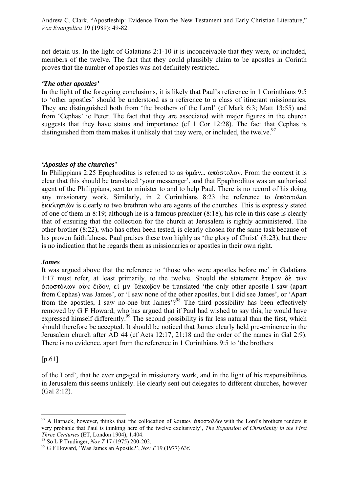not detain us. In the light of Galatians 2:1-10 it is inconceivable that they were, or included, members of the twelve. The fact that they could plausibly claim to be apostles in Corinth proves that the number of apostles was not definitely restricted.

### *'The other apostles'*

In the light of the foregoing conclusions, it is likely that Paul's reference in 1 Corinthians 9:5 to 'other apostles' should be understood as a reference to a class of itinerant missionaries. They are distinguished both from 'the brothers of the Lord' (cf Mark 6:3; Matt 13:55) and from 'Cephas' ie Peter. The fact that they are associated with major figures in the church suggests that they have status and importance (cf 1 Cor 12:28). The fact that Cephas is distinguished from them makes it unlikely that they were, or included, the twelve.<sup>97</sup>

### *'Apostles of the churches'*

In Philippians 2:25 Epaphroditus is referred to as  $\psi \omega$ ...  $\dot{\alpha} \pi \dot{\beta} \sigma \tau \dot{\beta}$  From the context it is clear that this should be translated 'your messenger', and that Epaphroditus was an authorised agent of the Philippians, sent to minister to and to help Paul. There is no record of his doing any missionary work. Similarly, in 2 Corinthians 8:23 the reference to  $\dot{\alpha}\pi\dot{\alpha}\sigma\tau$  $\mathring{\epsilon}$   $\kappa\lambda$ n $\sigma$ ιῶν is clearly to two brethren who are agents of the churches. This is expressly stated of one of them in 8:19; although he is a famous preacher (8:18), his role in this case is clearly that of ensuring that the collection for the church at Jerusalem is rightly administered. The other brother (8:22), who has often been tested, is clearly chosen for the same task because of his proven faithfulness. Paul praises these two highly as 'the glory of Christ' (8:23), but there is no indication that he regards them as missionaries or apostles in their own right.

# *James*

It was argued above that the reference to 'those who were apostles before me' in Galatians 1:17 must refer, at least primarily, to the twelve. Should the statement  $\epsilon \tau \epsilon \rho o v \delta \dot{\epsilon} \tau \hat{\omega} v$  $\dot{\alpha}$ ποστόλων οὐκ ἔιδον, εἰ μν  $\dot{\alpha}$ κωβον be translated 'the only other apostle I saw (apart from Cephas) was James', or 'I saw none of the other apostles, but I did see James', or 'Apart from the apostles, I saw no-one but James'?<sup>98</sup> The third possibility has been effectively removed by G F Howard, who has argued that if Paul had wished to say this, he would have expressed himself differently.<sup>99</sup> The second possibility is far less natural than the first, which should therefore be accepted. It should be noticed that James clearly held pre-eminence in the Jerusalem church after AD 44 (cf Acts 12:17, 21:18 and the order of the names in Gal 2:9). There is no evidence, apart from the reference in 1 Corinthians 9:5 to 'the brothers

# [p.61]

of the Lord', that he ever engaged in missionary work, and in the light of his responsibilities in Jerusalem this seems unlikely. He clearly sent out delegates to different churches, however (Gal 2:12).

 $\overline{a}$ <sup>97</sup> A Harnack, however, thinks that 'the collocation of  $\lambda$ ot $\pi$ ov  $\dot{\alpha}$  $\pi$ o $\sigma$ to $\lambda$ ôv with the Lord's brothers renders it very probable that Paul is thinking here of the twelve exclusively', *The Expansion of Christianity in the First Three Centuries* (ET, London 1904), 1.404.<br><sup>98</sup> So L P Trudinger, *Nov T* 17 (1975) 200-202.<br><sup>99</sup> G F Howard, 'Was James an Apostle?', *Nov T* 19 (1977) 63f.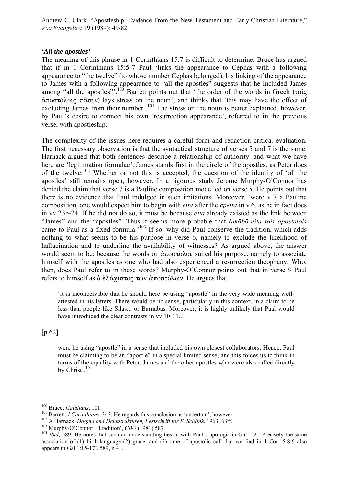Andrew C. Clark, "Apostleship: Evidence From the New Testament and Early Christian Literature," *Vox Evangelica* 19 (1989): 49-82.

#### *'All the apostles'*

The meaning of this phrase in 1 Corinthians 15:7 is difficult to determine. Bruce has argued that if in 1 Corinthians 15:5-7 Paul 'links the appearance to Cephas with a following appearance to "the twelve" (to whose number Cephas belonged), his linking of the appearance to James with a following appearance to "all the apostles" suggests that he included James among "all the apostles".<sup>100</sup> Barrett points out that 'the order of the words in Greek ( $\tau$ oî $\zeta$  $\alpha\pi$ o $\sigma$ τόλοις  $\pi\alpha\sigma$ ιν) lays stress on the noun', and thinks that 'this may have the effect of excluding James from their number'.<sup>101</sup> The stress on the noun is better explained, however, by Paul's desire to connect his own 'resurrection appearance', referred to in the previous verse, with apostleship.

The complexity of the issues here requires a careful form and redaction critical evaluation. The first necessary observation is that the syntactical structure of verses 5 and 7 is the same. Harnack argued that both sentences describe a relationship of authority, and what we have here are 'legitimation formulae'. James stands first in the circle of the apostles, as Peter does of the twelve.102 Whether or not this is accepted, the question of the identity of 'all the apostles' still remains open, however. In a rigorous study Jerome Murphy-O'Connor has denied the claim that verse 7 is a Pauline composition modelled on verse 5. He points out that there is no evidence that Paul indulged in such imitations. Moreover, 'were v 7 a Pauline composition, one would expect him to begin with *eita* after the *epeita* in v 6, as he in fact does in vv 23b-24. If he did not do so, it must be because *eita* already existed as the link between "James" and the "apostles". Thus it seems more probable that *Iakōbō eita tois apostolois* came to Paul as a fixed formula.<sup>5103</sup> If so, why did Paul conserve the tradition, which adds nothing to what seems to be his purpose in verse 6, namely to exclude the likelihood of hallucination and to underline the availability of witnesses? As argued above, the answer would seem to be; because the words of  $\alpha \tilde{\sigma}$   $\tilde{\sigma}$  and suited his purpose, namely to associate himself with the apostles as one who had also experienced a resurrection theophany. Who, then, does Paul refer to in these words? Murphy-O'Connor points out that in verse 9 Paul refers to himself as δ έλάχιστος τῶν ἀποστόλων. He argues that

'it is inconceivable that he should here be using "apostle" in the very wide meaning wellattested in his letters. There would be no sense, particularly in this context, in a claim to be less than people like Silas... or Barnabas. Moreover, it is highly unlikely that Paul would have introduced the clear contrasts in vv 10-11...

[p.62]

were he using "apostle" in a sense that included his own closest collaborators. Hence, Paul must be claiming to be an "apostle" in a special limited sense, and this forces us to think in terms of the equality with Peter, James and the other apostles who were also called directly by Christ'.<sup>104</sup>

<sup>&</sup>lt;sup>100</sup> Bruce, Galatians, 101.

<sup>&</sup>lt;sup>101</sup> Barrett, *I Corinthians*, 343. He regards this conclusion as 'uncertain', however.<br><sup>102</sup> A Harnack, *Dogma and Denkstrukturen, Festschrift for E. Schlink*, 1963, 63ff.<br><sup>103</sup> Murphy-O'Connor, 'Tradition', *CBQ* (1981 association of (1) birth-language (2) grace, and (3) time of apostolic call that we find in 1 Cor.15:8-9 also appears in Gal.1:15-17', 589, n 41.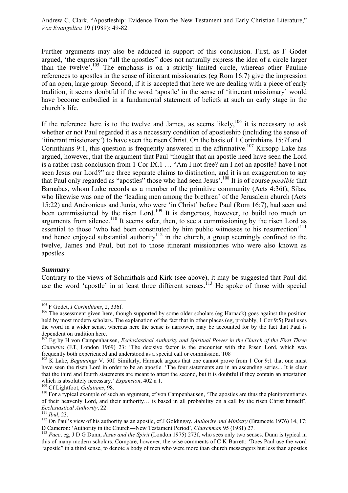Further arguments may also be adduced in support of this conclusion. First, as F Godet argued, 'the expression "all the apostles" does not naturally express the idea of a circle larger than the twelve'.105 The emphasis is on a strictly limited circle, whereas other Pauline references to apostles in the sense of itinerant missionaries (eg Rom 16:7) give the impression of an open, large group. Second, if it is accepted that here we are dealing with a piece of early tradition, it seems doubtful if the word 'apostle' in the sense of 'itinerant missionary' would have become embodied in a fundamental statement of beliefs at such an early stage in the church's life.

If the reference here is to the twelve and James, as seems likely,  $106$  it is necessary to ask whether or not Paul regarded it as a necessary condition of apostleship (including the sense of 'itinerant missionary') to have seen the risen Christ. On the basis of 1 Corinthians 15:7f and 1 Corinthians 9:1, this question is frequently answered in the affirmative.<sup>107</sup> Kirsopp Lake has argued, however, that the argument that Paul 'thought that an apostle need have seen the Lord is a rather rash conclusion from 1 Cor IX.1 … "Am I not free? am I not an apostle? have I not seen Jesus our Lord?" are three separate claims to distinction, and it is an exaggeration to say that Paul only regarded as "apostles" those who had seen Jesus'.108 It is of course *possible* that Barnabas, whom Luke records as a member of the primitive community (Acts 4:36f), Silas, who likewise was one of the 'leading men among the brethren' of the Jerusalem church (Acts 15:22) and Andronicus and Junia, who were 'in Christ' before Paul (Rom 16:7), had seen and been commissioned by the risen Lord.<sup>109</sup> It is dangerous, however, to build too much on arguments from silence.<sup>110</sup> It seems safer, then, to see a commissioning by the risen Lord as essential to those 'who had been constituted by him public witnesses to his resurrection<sup>'111</sup> and hence enjoyed substantial authority<sup>112</sup> in the church, a group seemingly confined to the twelve, James and Paul, but not to those itinerant missionaries who were also known as apostles.

#### *Summary*

 $\overline{a}$ 

Contrary to the views of Schmithals and Kirk (see above), it may be suggested that Paul did use the word 'apostle' in at least three different senses.<sup>113</sup> He spoke of those with special

<sup>&</sup>lt;sup>105</sup> F Godet, *I Corinthians*, 2, 336f.<br><sup>106</sup> The assessment given here, though supported by some older scholars (eg Harnack) goes against the position held by most modern scholars. The explanation of the fact that in other places (eg, probably, 1 Cor 9:5) Paul uses the word in a wider sense, whereas here the sense is narrower, may be accounted for by the fact that Paul is dependent on tradition here.

<sup>&</sup>lt;sup>T</sup> Eg by H von Campenhausen, *Ecclesiastical Authority and Spiritual Power in the Church of the First Three Centuries* (ET, London 1969) 23: 'The decisive factor is the encounter with the Risen Lord, which was frequently both experienced and understood as a special call or commission.'108 If  $108$  K Lake, *Beginnings* V. 50f. Similarly, Harnack argues that one cannot prove from 1 Cor 9:1 that one must

have seen the risen Lord in order to be an apostle. 'The four statements are in an ascending series... It is clear that the third and fourth statements are meant to attest the second, but it is doubtful if they contain an attestation which is absolutely necessary.' *Expansion*, 402 n 1.<br><sup>109</sup> Cf Lightfoot, *Galatians*, 98.<br><sup>110</sup> For a typical example of such an argument, cf von Campenhausen, 'The apostles are thus the plenipotentiaries

of their heavenly Lord, and their authority… is based in all probability on a call by the risen Christ himself',

*Ecclesiastical Authority*, 22.<br><sup>111</sup> *Ibid*, 23.<br><sup>112</sup> On Paul's view of his authority as an apostle, cf J Goldingay, *Authority and Ministry* (Bramcote 1976) 14, 17;<br>D Cameron: 'Authority in the Church—New Testament Peri

<sup>&</sup>lt;sup>113</sup> *Pace*, eg, J D G Dunn, *Jesus and the Spirit* (London 1975) 273f, who sees only two senses. Dunn is typical in this of many modern scholars. Compare, however, the wise comments of C K Barrett: 'Does Paul use the word "apostle" in a third sense, to denote a body of men who were more than church messengers but less than apostles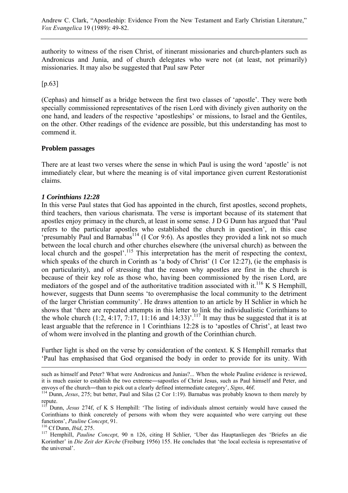authority to witness of the risen Christ, of itinerant missionaries and church-planters such as Andronicus and Junia, and of church delegates who were not (at least, not primarily) missionaries. It may also be suggested that Paul saw Peter

[p.63]

(Cephas) and himself as a bridge between the first two classes of 'apostle'. They were both specially commissioned representatives of the risen Lord with divinely given authority on the one hand, and leaders of the respective 'apostleships' or missions, to Israel and the Gentiles, on the other. Other readings of the evidence are possible, but this understanding has most to commend it.

# **Problem passages**

There are at least two verses where the sense in which Paul is using the word 'apostle' is not immediately clear, but where the meaning is of vital importance given current Restorationist claims.

# *1 Corinthians 12:28*

In this verse Paul states that God has appointed in the church, first apostles, second prophets, third teachers, then various charismata. The verse is important because of its statement that apostles enjoy primacy in the church, at least in some sense. J D G Dunn has argued that 'Paul refers to the particular apostles who established the church in question', in this case 'presumably Paul and Barnabas114 (I Cor 9:6). As apostles they provided a link not so much between the local church and other churches elsewhere (the universal church) as between the local church and the gospel'.<sup>115</sup> This interpretation has the merit of respecting the context, which speaks of the church in Corinth as 'a body of Christ' (1 Cor 12:27), (ie the emphasis is on particularity), and of stressing that the reason why apostles are first in the church is because of their key role as those who, having been commissioned by the risen Lord, are mediators of the gospel and of the authoritative tradition associated with it.<sup>116</sup> K S Hemphill, however, suggests that Dunn seems 'to overemphasise the local community to the detriment of the larger Christian community'. He draws attention to an article by H Schlier in which he shows that 'there are repeated attempts in this letter to link the individualistic Corinthians to the whole church  $(1:2, 4:17, 7:17, 11:16$  and  $14:33)$ <sup>'.117</sup> It may thus be suggested that it is at least arguable that the reference in 1 Corinthians 12:28 is to 'apostles of Christ', at least two of whom were involved in the planting and growth of the Corinthian church.

Further light is shed on the verse by consideration of the context. K S Hemphill remarks that 'Paul has emphasised that God organised the body in order to provide for its unity. With

such as himself and Peter? What were Andronicus and Junias?... When the whole Pauline evidence is reviewed, it is much easier to establish the two extreme―sapostles of Christ Jesus, such as Paul himself and Peter, and envoys of the church―than to pick out a clearly defined intermediate category', *Signs*, 46f. 114 Dunn, *Jesus*, 275; but better, Paul and Silas (2 Cor 1:19). Barnabas was probably known to them merely by

repute.<br> $\frac{115}{115}$  r.

<sup>115</sup> Dunn, *Jesus* 274f, cf K S Hemphill: 'The listing of individuals almost certainly would have caused the Corinthians to think concretely of persons with whom they were acquainted who were carrying out these functions', Pauline Concept, 91.

<sup>&</sup>lt;sup>116</sup> Cf Dunn, *Ibid*, 275. <sup>117</sup> Hemphill, *Pauline Concept*, 90 n 126, citing H Schlier, 'Uber das Hauptanliegen des 'Briefes an die Korinther' in *Die Zeit der Kirche* (Freiburg 1956) 155. He concludes that 'the local ecclesia is representative of the universal'.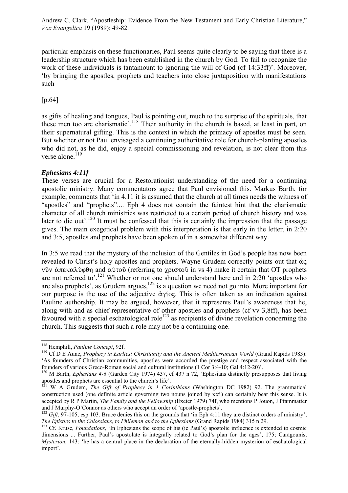particular emphasis on these functionaries, Paul seems quite clearly to be saying that there is a leadership structure which has been established in the church by God. To fail to recognize the work of these individuals is tantamount to ignoring the will of God (cf 14:33ff)'. Moreover, 'by bringing the apostles, prophets and teachers into close juxtaposition with manifestations such

[p.64]

as gifts of healing and tongues, Paul is pointing out, much to the surprise of the spirituals, that these men too are charismatic'.<sup>118</sup> Their authority in the church is based, at least in part, on their supernatural gifting. This is the context in which the primacy of apostles must be seen. But whether or not Paul envisaged a continuing authoritative role for church-planting apostles who did not, as he did, enjoy a special commissioning and revelation, is not clear from this verse alone.<sup>119</sup>

# *Ephesians 4:11f*

These verses are crucial for a Restorationist understanding of the need for a continuing apostolic ministry. Many commentators agree that Paul envisioned this. Markus Barth, for example, comments that 'in 4.11 it is assumed that the church at all times needs the witness of "apostles" and "prophets".... Eph 4 does not contain the faintest hint that the charismatic character of all church ministries was restricted to a certain period of church history and was later to die out<sup> $120$ </sup> It must be confessed that this is certainly the impression that the passage gives. The main exegetical problem with this interpretation is that early in the letter, in 2:20 and 3:5, apostles and prophets have been spoken of in a somewhat different way.

In 3:5 we read that the mystery of the inclusion of the Gentiles in God's people has now been revealed to Christ's holy apostles and prophets. Wayne Grudem correctly points out that  $\dot{\omega}$ νδν άπεκαλύφθη and αὐτοδ (referring to χριστοδ in vs 4) make it certain that OT prophets are not referred to'.121 Whether or not one should understand here and in 2:20 'apostles who are also prophets', as Grudem argues, $122$  is a question we need not go into. More important for our purpose is the use of the adjective  $\alpha\gamma\alpha$ . This is often taken as an indication against Pauline authorship. It may be argued, however, that it represents Paul's awareness that he, along with and as chief representative of other apostles and prophets (cf vv 3,8ff), has been favoured with a special eschatological role<sup>123</sup> as recipients of divine revelation concerning the church. This suggests that such a role may not be a continuing one.

<sup>&</sup>lt;sup>118</sup> Hemphill, *Pauline Concept*, 92f.

<sup>&</sup>lt;sup>119</sup> Cf D E Aune, *Prophecy in Earliest Christianity and the Ancient Mediterranean World* (Grand Rapids 1983): 'As founders of Christian communities, apostles were accorded the prestige and respect associated with the founders of various Greco-Roman social and cultural institutions (1 Cor 3:4-10; Gal 4:12-20)'.

<sup>&</sup>lt;sup>120</sup> M Barth, *Ephesians 4-6* (Garden City 1974) 437, cf 437 n 72, 'Ephesians distinctly presupposes that living apostles and prophets are essential to the church's life'.

<sup>&</sup>lt;sup>121</sup> W A Grudem, *The Gift of Prophecy in 1 Corinthians* (Washington DC 1982) 92. The grammatical construction used (one definite article governing two nouns joined by  $\kappa \alpha$ ) can certainly bear this sense. It is accepted by R P Martin, *The Family and the Fellowship* (Exeter 1979) 74f, who mentions P Jouon, J Pfammatter

and J Murphy-O'Connor as others who accept an order of 'apostle-prophets'.<br><sup>122</sup> *Gift*, 97-105, esp 103. Bruce denies this on the grounds that 'in Eph 4:11 they are distinct orders of ministry',<br>*The Epistles to the Colos* 

<sup>&</sup>lt;sup>123</sup> Cf. Kruse, *Foundations*, 'In Ephesians the scope of his (ie Paul's) apostolic influence is extended to cosmic dimensions ... Further, Paul's apostolate is integrally related to God's plan for the ages', 175; Caragounis, *Mysterion*, 143: 'he has a central place in the declaration of the eternally-hidden mysterion of eschatological import'.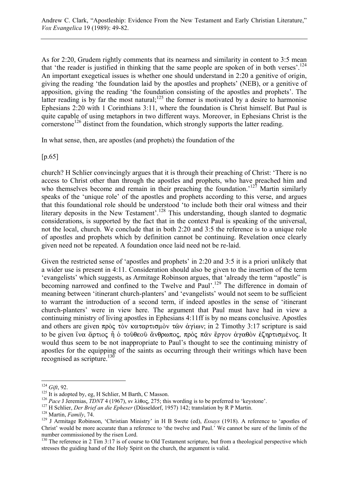As for 2:20, Grudem rightly comments that its nearness and similarity in content to 3:5 mean that 'the reader is justified in thinking that the same people are spoken of in both verses'.<sup>124</sup> An important exegetical issues is whether one should understand in 2:20 a genitive of origin, giving the reading 'the foundation laid by the apostles and prophets' (NEB), or a genitive of apposition, giving the reading 'the foundation consisting of the apostles and prophets'. The latter reading is by far the most natural; $^{125}$  the former is motivated by a desire to harmonise Ephesians 2:20 with 1 Corinthians 3:11, where the foundation is Christ himself. But Paul is quite capable of using metaphors in two different ways. Moreover, in Ephesians Christ is the cornerstone<sup>126</sup> distinct from the foundation, which strongly supports the latter reading.

In what sense, then, are apostles (and prophets) the foundation of the

[p.65]

church? H Schlier convincingly argues that it is through their preaching of Christ: 'There is no access to Christ other than through the apostles and prophets, who have preached him and who themselves become and remain in their preaching the foundation.<sup>'127</sup> Martin similarly speaks of the 'unique role' of the apostles and prophets according to this verse, and argues that this foundational role should be understood 'to include both their oral witness and their literary deposits in the New Testament'.<sup>128</sup> This understanding, though slanted to dogmatic considerations, is supported by the fact that in the context Paul is speaking of the universal, not the local, church. We conclude that in both 2:20 and 3:5 the reference is to a unique role of apostles and prophets which by definition cannot be continuing. Revelation once clearly given need not be repeated. A foundation once laid need not be re-laid.

Given the restricted sense of 'apostles and prophets' in 2:20 and 3:5 it is a priori unlikely that a wider use is present in 4:11. Consideration should also be given to the insertion of the term 'evangelists' which suggests, as Armitage Robinson argues, that 'already the term "apostle" is becoming narrowed and confined to the Twelve and Paul'.<sup>129</sup> The difference in domain of meaning between 'itinerant church-planters' and 'evangelists' would not seem to be sufficient to warrant the introduction of a second term, if indeed apostles in the sense of 'itinerant church-planters' were in view here. The argument that Paul must have had in view a continuing ministry of living apostles in Ephesians 4:11ff is by no means conclusive. Apostles and others are given  $\pi \rho \delta \zeta \tau \delta v$  καταρτισμόν τῶν άγίων; in 2 Timothy 3:17 scripture is said to be given ίνα άρτιος ή ο τούθεού άνθρωπος, πρὸς παν ἔργον ἀγαθὸν ἐζηρτισμένος. It would thus seem to be not inappropriate to Paul's thought to see the continuing ministry of apostles for the equipping of the saints as occurring through their writings which have been recognised as scripture.<sup>130</sup>

 $124$  Gift, 92.

<sup>&</sup>lt;sup>125</sup> It is adopted by, eg, H Schlier, M Barth, C Masson.<br><sup>126</sup> *Pace J Jeremias, TDNT* 4 (1967), sv  $\lambda$ **i**θoς, 275; this wording is to be preferred to 'keystone'.<br><sup>126</sup> *Pace J Jeremias, TDNT* 4 (1967), sv  $\lambda$ **i**θoς, 2 Christ' would be more accurate than a reference to 'the twelve and Paul.' We cannot be sure of the limits of the number commissioned by the risen Lord.

<sup>&</sup>lt;sup>130</sup> The reference in 2 Tim 3:17 is of course to Old Testament scripture, but from a theological perspective which stresses the guiding hand of the Holy Spirit on the church, the argument is valid.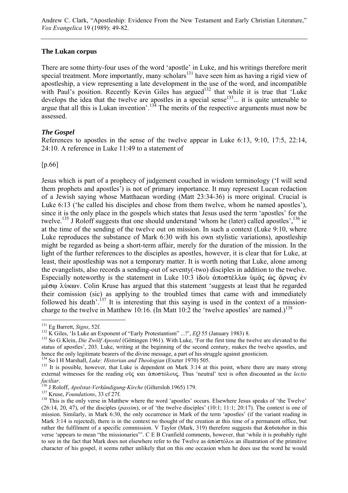### **The Lukan corpus**

There are some thirty-four uses of the word 'apostle' in Luke, and his writings therefore merit special treatment. More importantly, many scholars<sup>131</sup> have seen him as having a rigid view of apostleship, a view representing a late development in the use of the word, and incompatible with Paul's position. Recently Kevin Giles has argued<sup>132</sup> that while it is true that 'Luke develops the idea that the twelve are apostles in a special sense $133...$  it is quite untenable to argue that all this is Lukan invention'.134 The merits of the respective arguments must now be assessed.

### *The Gospel*

References to apostles in the sense of the twelve appear in Luke 6:13, 9:10, 17:5, 22:14, 24:10. A reference in Luke 11:49 to a statement of

[p.66]

Jesus which is part of a prophecy of judgement couched in wisdom terminology ('I will send them prophets and apostles') is not of primary importance. It may represent Lucan redaction of a Jewish saying whose Matthaean wording (Matt 23:34-36) is more original. Crucial is Luke 6:13 ('he called his disciples and chose from them twelve, whom he named apostles'), since it is the only place in the gospels which states that Jesus used the term 'apostles' for the twelve.<sup>135</sup> J Roloff suggests that one should understand 'whom he (later) called apostles', <sup>136</sup> ie at the time of the sending of the twelve out on mission. In such a context (Luke 9:10, where Luke reproduces the substance of Mark 6:30 with his own stylistic variations), apostleship might be regarded as being a short-term affair, merely for the duration of the mission. In the light of the further references to the disciples as apostles, however, it is clear that for Luke, at least, their apostleship was not a temporary matter. It is worth noting that Luke, alone among the evangelists, also records a sending-out of seventy(-two) disciples in addition to the twelve. Especially noteworthy is the statement in Luke 10:3  $\delta \delta \phi \phi \partial \phi$   $\delta \phi \partial \phi \partial \phi$   $\delta \phi \partial \phi$  &  $\delta \phi \partial \phi$   $\delta \phi$  $\mu$ έσω λύκων. Colin Kruse has argued that this statement 'suggests at least that he regarded their comission (sic) as applying to the troubled times that came with and immediately followed his death'.<sup>137</sup> It is interesting that this saying is used in the context of a missioncharge to the twelve in Matthew 10:16. (In Matt 10:2 the 'twelve apostles' are named.)<sup>138</sup>

<sup>&</sup>lt;sup>131</sup> Eg Barrett, Signs, 52f.

<sup>&</sup>lt;sup>132</sup> K Giles, 'Is Luke an Exponent of "Early Protestantism" ...?', *EQ* 55 (January 1983) 8.<br><sup>133</sup> So G Klein, *Die Zwölf Apostel* (Göttingen 1961). With Luke, 'For the first time the twelve are elevated to the status of apostles', 203. Luke, writing at the beginning of the second century, makes the twelve apostles, and hence the only legitimate bearers of the divine message, a part of his struggle against gnosticism.<br><sup>134</sup> So I H Marshall, *Luke: Historian and Theologian* (Exeter 1970) 505.

<sup>&</sup>lt;sup>135</sup> It is possible, however, that Luke is dependent on Mark 3:14 at this point, where there are many strong external witnesses for the reading o<u>δς</u> και άποστόλους. Thus 'neutral' text is often discounted as the *lectio faciliar.*<br><sup>136</sup> J Roloff, *Apolstat-Verkündigung-Kirche* (Giltersloh 1965) 179.<br><sup>137</sup> Kruse, *Foundations*, 33 cf 27f.<br><sup>138</sup> This is the only verse in Matthew where the word 'apostles' occurs. Elsewhere Jesus speaks of '

<sup>(26:14, 20, 47),</sup> of the disciples (*passim*), or of 'the twelve disciples' (10:1; 11:1; 20:17). The context is one of mission. Similarly, in Mark 6:30, the only occurrence in Mark of the term 'apostles' (if the variant reading in Mark 3:14 is rejected), there is in the context no thought of the creation at this time of a permanent office, but rather the fulfilment of a specific commission. V Taylor (Mark, 319) therefore suggests that &n6otohor in this verse 'appears to mean "the missionaries"'. C E B Cranfield comments, however, that 'while it is probably right to see in the fact that Mark does not elsewhere refer to the Twelve as  $\dot{\alpha} \pi \dot{\alpha} \sigma \tau \dot{\alpha} \lambda$  an illustration of the primitive character of his gospel, it seems rather unlikely that on this one occasion when he does use the word he would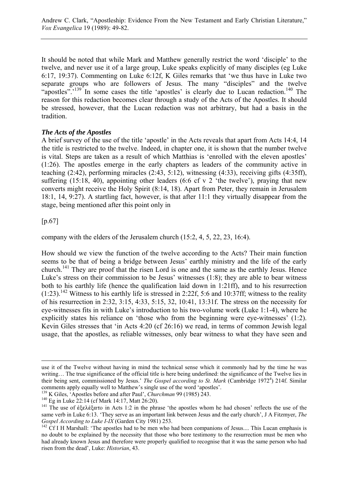It should be noted that while Mark and Matthew generally restrict the word 'disciple' to the twelve, and never use it of a large group, Luke speaks explicitly of many disciples (eg Luke 6:17, 19:37). Commenting on Luke 6:12f, K Giles remarks that 'we thus have in Luke two separate groups who are followers of Jesus. The many "disciples" and the twelve "apostles".<sup>139</sup> In some cases the title 'apostles' is clearly due to Lucan redaction.<sup>140</sup> The reason for this redaction becomes clear through a study of the Acts of the Apostles. It should be stressed, however, that the Lucan redaction was not arbitrary, but had a basis in the tradition.

# *The Acts of the Apostles*

A brief survey of the use of the title 'apostle' in the Acts reveals that apart from Acts 14:4, 14 the title is restricted to the twelve. Indeed, in chapter one, it is shown that the number twelve is vital. Steps are taken as a result of which Matthias is 'enrolled with the eleven apostles' (1:26). The apostles emerge in the early chapters as leaders of the community active in teaching (2:42), performing miracles (2:43, 5:12), witnessing (4:33), receiving gifts (4:35ff), suffering  $(15:18, 40)$ , appointing other leaders  $(6:6 \text{ cf } v 2)$  the twelve'), praying that new converts might receive the Holy Spirit (8:14, 18). Apart from Peter, they remain in Jerusalem 18:1, 14, 9:27). A startling fact, however, is that after 11:1 they virtually disappear from the stage, being mentioned after this point only in

[p.67]

company with the elders of the Jerusalem church (15:2, 4, 5, 22, 23, 16:4).

How should we view the function of the twelve according to the Acts? Their main function seems to be that of being a bridge between Jesus' earthly ministry and the life of the early church.141 They are proof that the risen Lord is one and the same as the earthly Jesus. Hence Luke's stress on their commission to be Jesus' witnesses (1:8); they are able to bear witness both to his earthly life (hence the qualification laid down in 1:21ff), and to his resurrection  $(1:23)$ .<sup>142</sup> Witness to his earthly life is stressed in 2:22f, 5:6 and 10:37ff; witness to the reality of his resurrection in 2:32, 3:15, 4:33, 5:15, 32, 10:41, 13:31f. The stress on the necessity for eye-witnesses fits in with Luke's introduction to his two-volume work (Luke 1:1-4), where he explicitly states his reliance on 'those who from the beginning were eye-witnesses' (1:2). Kevin Giles stresses that 'in Acts 4:20 (cf 26:16) we read, in terms of common Jewish legal usage, that the apostles, as reliable witnesses, only bear witness to what they have seen and

use it of the Twelve without having in mind the technical sense which it commonly had by the time he was writing... The true significance of the official title is here being underlined: the significance of the Twelve lies in their being sent, commissioned by Jesus.' The Gospel according to St. Mark (Cambridge 1972<sup>4</sup>) 214f. Similar comments apply equally well to Matthew's single use of the word 'apostles'.<br><sup>139</sup> K Giles, 'Apostles before and after Paul', *Churchman* 99 (1985) 243.

<sup>&</sup>lt;sup>140</sup> Eg in Luke 22:14 (cf Mark 14:17, Matt 26:20).<br><sup>141</sup> The use of ἐξελέξατο in Acts 1:2 in the phrase 'the apostles whom he had chosen' reflects the use of the same verb in Luke 6:13. 'They serve as an important link between Jesus and the early church', J A Fitzmyer, *The Gospel According to Luke I-IX* (Garden City 1981) 253.<br><sup>142</sup> Cf I H Marshall: 'The apostles had to be men who had been companions of Jesus.... This Lucan emphasis is

no doubt to be explained by the necessity that those who bore testimony to the resurrection must be men who had already known Jesus and therefore were properly qualified to recognise that it was the same person who had risen from the dead', Luke: *Historian*, 43.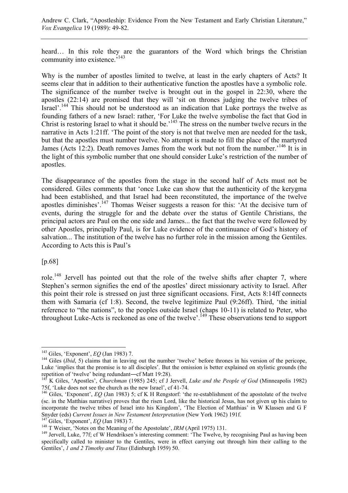Andrew C. Clark, "Apostleship: Evidence From the New Testament and Early Christian Literature," *Vox Evangelica* 19 (1989): 49-82.

heard… In this role they are the guarantors of the Word which brings the Christian community into existence.<sup>5143</sup>

Why is the number of apostles limited to twelve, at least in the early chapters of Acts? It seems clear that in addition to their authenticative function the apostles have a symbolic role. The significance of the number twelve is brought out in the gospel in 22:30, where the apostles (22:14) are promised that they will 'sit on thrones judging the twelve tribes of Israel'.<sup>144</sup> This should not be understood as an indication that Luke portrays the twelve as founding fathers of a new Israel: rather, 'For Luke the twelve symbolise the fact that God in Christ is restoring Israel to what it should be.<sup>145</sup> The stress on the number twelve recurs in the narrative in Acts 1:21ff. 'The point of the story is not that twelve men are needed for the task, but that the apostles must number twelve. No attempt is made to fill the place of the martyred James (Acts 12:2). Death removes James from the work but not from the number.<sup>146</sup> It is in the light of this symbolic number that one should consider Luke's restriction of the number of apostles.

The disappearance of the apostles from the stage in the second half of Acts must not be considered. Giles comments that 'once Luke can show that the authenticity of the kerygma had been established, and that Israel had been reconstituted, the importance of the twelve apostles diminishes'.147 Thomas Weiser suggests a reason for this: 'At the decisive turn of events, during the struggle for and the debate over the status of Gentile Christians, the principal actors are Paul on the one side and James... the fact that the twelve were followed by other Apostles, principally Paul, is for Luke evidence of the continuance of God's history of salvation... The institution of the twelve has no further role in the mission among the Gentiles. According to Acts this is Paul's

[p.68]

 $\overline{a}$ 

role.<sup>148</sup> Jervell has pointed out that the role of the twelve shifts after chapter 7, where Stephen's sermon signifies the end of the apostles' direct missionary activity to Israel. After this point their role is stressed on just three significant occasions. First, Acts 8:14ff connects them with Samaria (cf 1:8). Second, the twelve legitimize Paul (9:26ff). Third, 'the initial reference to "the nations", to the peoples outside Israel (chaps 10-11) is related to Peter, who throughout Luke-Acts is reckoned as one of the twelve'.149 These observations tend to support

<sup>&</sup>lt;sup>143</sup> Giles, 'Exponent', *EQ* (Jan 1983) 7.<br><sup>144</sup> Giles (*Ibid*, 5) claims that in leaving out the number 'twelve' before thrones in his version of the pericope, Luke 'implies that the promise is to all disciples'. But the omission is better explained on stylistic grounds (the repetition of 'twelve' being redundant―cf Matt 19:28). 145 K Giles, 'Apostles', *Churchman* (1985) 245; cf J Jervell, *Luke and the People of God* (Minneapolis 1982)

<sup>75</sup>f, 'Luke does not see the church as the new Israel', cf 41-74.

<sup>&</sup>lt;sup>146</sup> Giles, 'Exponent', *EQ* (Jan 1983) 5; cf K H Rengstorf: 'the re-establishment of the apostolate of the twelve (sc. in the Matthias narrative) proves that the risen Lord, like the historical Jesus, has not given up his claim to incorporate the twelve tribes of Israel into his Kingdom', 'The Election of Matthias' in W Klassen and G F Snyder (eds) Current Issues in New Testament Interpretation (New York 1962) 191f.<br><sup>147</sup> Giles, 'Exponent', EQ (Jan 1983) 7.<br><sup>148</sup> T Weiser, 'Notes on the Meaning of the Apostolate', *IRM* (April 1975) 131.<br><sup>149</sup> Jervell, L

specifically called to minister to the Gentiles, were in effect carrying out through him their calling to the Gentiles', *1 and 2 Timothy and Titus* (Edinburgh 1959) 50.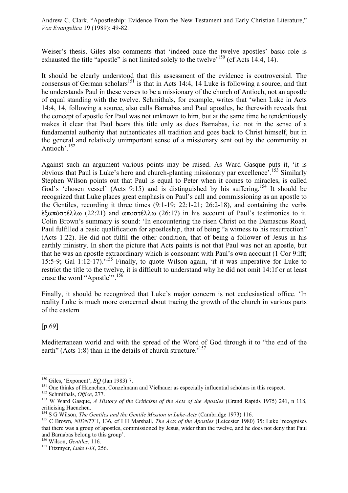Weiser's thesis. Giles also comments that 'indeed once the twelve apostles' basic role is exhausted the title "apostle" is not limited solely to the twelve<sup> $150$ </sup> (cf Acts 14:4, 14).

It should be clearly understood that this assessment of the evidence is controversial. The consensus of German scholars<sup>151</sup> is that in Acts 14:4, 14 Luke is following a source, and that he understands Paul in these verses to be a missionary of the church of Antioch, not an apostle of equal standing with the twelve. Schmithals, for example, writes that 'when Luke in Acts 14:4, 14, following a source, also calls Barnabas and Paul apostles, he therewith reveals that the concept of apostle for Paul was not unknown to him, but at the same time he tendentiously makes it clear that Paul bears this title only as does Barnabas, i.e. not in the sense of a fundamental authority that authenticates all tradition and goes back to Christ himself, but in the general and relatively unimportant sense of a missionary sent out by the community at Antioch'.152

Against such an argument various points may be raised. As Ward Gasque puts it, 'it is obvious that Paul is Luke's hero and church-planting missionary par excellence'.153 Similarly Stephen Wilson points out that Paul is equal to Peter when it comes to miracles, is called God's 'chosen vessel' (Acts 9:15) and is distinguished by his suffering.<sup>154</sup> It should be recognized that Luke places great emphasis on Paul's call and commissioning as an apostle to the Gentiles, recording it three times (9:1-19; 22:1-21; 26:2-18), and containing the verbs  $\dot{\epsilon}$ ζαπόστέλλω (22:21) and αποστέλλω (26:17) in his account of Paul's testimonies to it. Colin Brown's summary is sound: 'In encountering the risen Christ on the Damascus Road, Paul fulfilled a basic qualification for apostleship, that of being "a witness to his resurrection" (Acts 1:22). He did not fulfil the other condition, that of being a follower of Jesus in his earthly ministry. In short the picture that Acts paints is not that Paul was not an apostle, but that he was an apostle extraordinary which is consonant with Paul's own account (1 Cor 9:lff; 15:5-9; Gal 1:12-17).<sup>155</sup> Finally, to quote Wilson again, 'if it was imperative for Luke to restrict the title to the twelve, it is difficult to understand why he did not omit 14:1f or at least erase the word "Apostle"'.<sup>156</sup>

Finally, it should be recognized that Luke's major concern is not ecclesiastical office. 'In reality Luke is much more concerned about tracing the growth of the church in various parts of the eastern

[p.69]

 $\overline{a}$ 

Mediterranean world and with the spread of the Word of God through it to "the end of the earth" (Acts 1:8) than in the details of church structure.<sup>157</sup>

<sup>&</sup>lt;sup>150</sup> Giles, 'Exponent', *EQ* (Jan 1983) 7.<br><sup>151</sup> One thinks of Haenchen, Conzelmann and Vielhauer as especially influential scholars in this respect.<br><sup>152</sup> Schmithals, *Office*, 277.<br><sup>153</sup> W Ward Gasque, *A History of th* criticising Haenchen.<br><sup>154</sup> S G Wilson, *The Gentiles and the Gentile Mission in Luke-Acts* (Cambridge 1973) 116.

<sup>&</sup>lt;sup>155</sup> C Brown, *NIDNTT* I, 136, cf I H Marshall, *The Acts of the Apostles* (Leicester 1980) 35: Luke 'recognises that there was a group of apostles, commissioned by Jesus, wider than the twelve, and he does not deny that Paul and Barnabas belong to this group'.<br><sup>156</sup> Wilson, *Gentiles*, 116.

<sup>&</sup>lt;sup>157</sup> Fitzmyer, *Luke I-IX*, 256.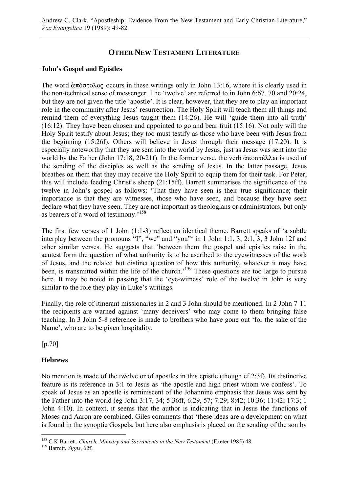# **OTHER NEW TESTAMENT LITERATURE**

# **John's Gospel and Epistles**

The word  $\alpha \pi \omega \sigma \sigma \omega$  occurs in these writings only in John 13:16, where it is clearly used in the non-technical sense of messenger. The 'twelve' are referred to in John 6:67, 70 and 20:24, but they are not given the title 'apostle'. It is clear, however, that they are to play an important role in the community after Jesus' resurrection. The Holy Spirit will teach them all things and remind them of everything Jesus taught them (14:26). He will 'guide them into all truth' (16:12). They have been chosen and appointed to go and bear fruit (15:16). Not only will the Holy Spirit testify about Jesus; they too must testify as those who have been with Jesus from the beginning (15:26f). Others will believe in Jesus through their message (17.20). It is especially noteworthy that they are sent into the world by Jesus, just as Jesus was sent into the world by the Father (John 17:18, 20-21f). In the former verse, the verb  $\alpha \pi$ o $\sigma \tau \in \lambda \lambda \omega$  is used of the sending of the disciples as well as the sending of Jesus. In the latter passage, Jesus breathes on them that they may receive the Holy Spirit to equip them for their task. For Peter, this will include feeding Christ's sheep (21:15ff). Barrett summarises the significance of the twelve in John's gospel as follows: 'That they have seen is their true significance; their importance is that they are witnesses, those who have seen, and because they have seen declare what they have seen. They are not important as theologians or administrators, but only as bearers of a word of testimony.'158

The first few verses of 1 John (1:1-3) reflect an identical theme. Barrett speaks of 'a subtle interplay between the pronouns "I", "we" and "you"' in 1 John 1:1, 3, 2:1, 3, 3 John 12f and other similar verses. He suggests that 'between them the gospel and epistles raise in the acutest form the question of what authority is to be ascribed to the eyewitnesses of the work of Jesus, and the related but distinct question of how this authority, whatever it may have been, is transmitted within the life of the church.<sup>159</sup> These questions are too large to pursue here. It may be noted in passing that the 'eye-witness' role of the twelve in John is very similar to the role they play in Luke's writings.

Finally, the role of itinerant missionaries in 2 and 3 John should be mentioned. In 2 John 7-11 the recipients are warned against 'many deceivers' who may come to them bringing false teaching. In 3 John 5-8 reference is made to brothers who have gone out 'for the sake of the Name', who are to be given hospitality.

[p.70]

# **Hebrews**

No mention is made of the twelve or of apostles in this epistle (though cf 2:3f). Its distinctive feature is its reference in 3:1 to Jesus as 'the apostle and high priest whom we confess'. To speak of Jesus as an apostle is reminiscent of the Johannine emphasis that Jesus was sent by the Father into the world (eg John 3:17, 34; 5:36ff, 6:29, 57; 7:29; 8:42; 10:36; 11:42; 17:3; 1 John 4:10). In context, it seems that the author is indicating that in Jesus the functions of Moses and Aaron are combined. Giles comments that 'these ideas are a development on what is found in the synoptic Gospels, but here also emphasis is placed on the sending of the son by

 $\overline{a}$ 158 C K Barrett, *Church, Ministry and Sacraments in the New Testament* (Exeter 1985) 48. 159 Barrett, *Signs*, 62f.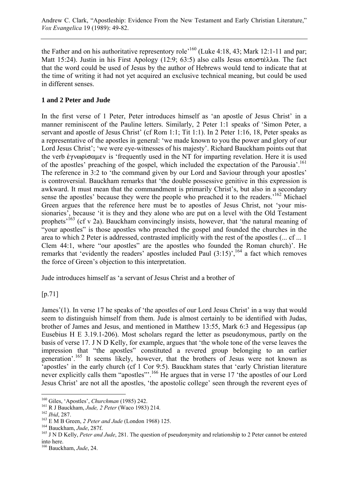the Father and on his authoritative representory role<sup> $,160$ </sup> (Luke 4:18, 43; Mark 12:1-11 and par; Matt 15:24). Justin in his First Apology (12:9; 63:5) also calls Jesus  $\alpha\pi$ o $\sigma$ τέλλω. The fact that the word could be used of Jesus by the author of Hebrews would tend to indicate that at the time of writing it had not yet acquired an exclusive technical meaning, but could be used in different senses.

# **1 and 2 Peter and Jude**

In the first verse of 1 Peter, Peter introduces himself as 'an apostle of Jesus Christ' in a manner reminiscent of the Pauline letters. Similarly, 2 Peter 1:1 speaks of 'Simon Peter, a servant and apostle of Jesus Christ' (cf Rom 1:1; Tit 1:1). In 2 Peter 1:16, 18, Peter speaks as a representative of the apostles in general: 'we made known to you the power and glory of our Lord Jesus Christ'; 'we were eye-witnesses of his majesty'. Richard Bauckham points out that the verb  $\epsilon$ y vopto  $\alpha$ uev is 'frequently used in the NT for imparting revelation. Here it is used of the apostles' preaching of the gospel, which included the expectation of the Parousia'.<sup>161</sup> The reference in 3:2 to 'the command given by our Lord and Saviour through your apostles' is controversial. Bauckham remarks that 'the double possessive genitive in this expression is awkward. It must mean that the commandment is primarily Christ's, but also in a secondary sense the apostles' because they were the people who preached it to the readers.<sup>'162</sup> Michael Green argues that the reference here must be to apostles of Jesus Christ, not 'your missionaries', because 'it is they and they alone who are put on a level with the Old Testament prophets<sup>'163</sup> (cf v 2a). Bauckham convincingly insists, however, that 'the natural meaning of "your apostles" is those apostles who preached the gospel and founded the churches in the area to which 2 Peter is addressed, contrasted implicitly with the rest of the apostles (... cf ... 1 Clem 44:1, where "our apostles" are the apostles who founded the Roman church)'. He remarks that 'evidently the readers' apostles included Paul  $(3:15)$ ', <sup>164</sup> a fact which removes the force of Green's objection to this interpretation.

Jude introduces himself as 'a servant of Jesus Christ and a brother of

[p.71]

James'(1). In verse 17 he speaks of 'the apostles of our Lord Jesus Christ' in a way that would seem to distinguish himself from them. Jude is almost certainly to be identified with Judas, brother of James and Jesus, and mentioned in Matthew 13:55, Mark 6:3 and Hegessipus (ap Eusebius H E 3.19.1-206). Most scholars regard the letter as pseudonymous, partly on the basis of verse 17. J N D Kelly, for example, argues that 'the whole tone of the verse leaves the impression that "the apostles" constituted a revered group belonging to an earlier generation'.<sup>165</sup> It seems likely, however, that the brothers of Jesus were not known as 'apostles' in the early church (cf 1 Cor 9:5). Bauckham states that 'early Christian literature never explicitly calls them "apostles"<sup>166</sup> He argues that in verse 17 'the apostles of our Lord Jesus Christ' are not all the apostles, 'the apostolic college' seen through the reverent eyes of

<sup>&</sup>lt;sup>160</sup> Giles, 'Apostles', *Churchman* (1985) 242.

<sup>&</sup>lt;sup>161</sup> R J Bauckham, Jude, 2 Peter (Waco 1983) 214.<br><sup>162</sup> Ibid, 287.<br><sup>163</sup> E M B Green, 2 Peter and Jude (London 1968) 125.<br><sup>164</sup> Bauckham, Jude, 287f.<br><sup>164</sup> Dauckham, Jude, 287f. into here.

<sup>166</sup> Bauckham, *Jude*, 24.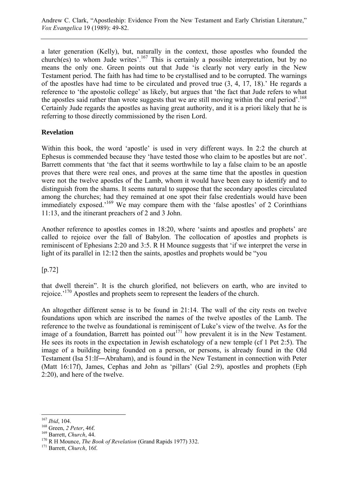a later generation (Kelly), but, naturally in the context, those apostles who founded the church(es) to whom Jude writes'.<sup>167</sup> This is certainly a possible interpretation, but by no means the only one. Green points out that Jude 'is clearly not very early in the New Testament period. The faith has had time to be crystallised and to be corrupted. The warnings of the apostles have had time to be circulated and proved true (3, 4, 17, 18).' He regards a reference to 'the apostolic college' as likely, but argues that 'the fact that Jude refers to what the apostles said rather than wrote suggests that we are still moving within the oral period'.<sup>168</sup> Certainly Jude regards the apostles as having great authority, and it is a priori likely that he is referring to those directly commissioned by the risen Lord.

# **Revelation**

Within this book, the word 'apostle' is used in very different ways. In 2:2 the church at Ephesus is commended because they 'have tested those who claim to be apostles but are not'. Barrett comments that 'the fact that it seems worthwhile to lay a false claim to be an apostle proves that there were real ones, and proves at the same time that the apostles in question were not the twelve apostles of the Lamb, whom it would have been easy to identify and to distinguish from the shams. It seems natural to suppose that the secondary apostles circulated among the churches; had they remained at one spot their false credentials would have been immediately exposed.<sup>169</sup> We may compare them with the 'false apostles' of 2 Corinthians 11:13, and the itinerant preachers of 2 and 3 John.

Another reference to apostles comes in 18:20, where 'saints and apostles and prophets' are called to rejoice over the fall of Babylon. The collocation of apostles and prophets is reminiscent of Ephesians 2:20 and 3:5. R H Mounce suggests that 'if we interpret the verse in light of its parallel in 12:12 then the saints, apostles and prophets would be "you

[p.72]

that dwell therein". It is the church glorified, not believers on earth, who are invited to rejoice.'170 Apostles and prophets seem to represent the leaders of the church.

An altogether different sense is to be found in 21:14. The wall of the city rests on twelve foundations upon which are inscribed the names of the twelve apostles of the Lamb. The reference to the twelve as foundational is reminiscent of Luke's view of the twelve. As for the image of a foundation, Barrett has pointed out<sup>171</sup> how prevalent it is in the New Testament. He sees its roots in the expectation in Jewish eschatology of a new temple (cf 1 Pet 2:5). The image of a building being founded on a person, or persons, is already found in the Old Testament (Isa 51:lf―Abraham), and is found in the New Testament in connection with Peter (Matt 16:17f), James, Cephas and John as 'pillars' (Gal 2:9), apostles and prophets (Eph 2:20), and here of the twelve.

 $167$  Ibid, 104.

<sup>168</sup> Green, *2 Peter*, 46f.<br>
<sup>169</sup> Barrett, *Church*, 44.<br>
<sup>170</sup> R H Mounce, *The Book of Revelation* (Grand Rapids 1977) 332.<br>
<sup>171</sup> Barrett, *Church*, 16f.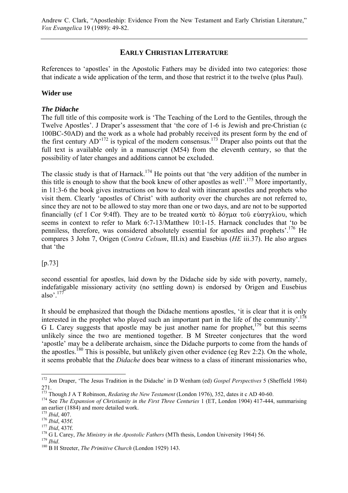# **EARLY CHRISTIAN LITERATURE**

References to 'apostles' in the Apostolic Fathers may be divided into two categories: those that indicate a wide application of the term, and those that restrict it to the twelve (plus Paul).

# **Wider use**

# *The Didache*

The full title of this composite work is 'The Teaching of the Lord to the Gentiles, through the Twelve Apostles'. J Draper's assessment that 'the core of 1-6 is Jewish and pre-Christian (c 100BC-50AD) and the work as a whole had probably received its present form by the end of the first century  $AD<sup>172</sup>$  is typical of the modern consensus.<sup>173</sup> Draper also points out that the full text is available only in a manuscript (M54) from the eleventh century, so that the possibility of later changes and additions cannot be excluded.

The classic study is that of Harnack.<sup>174</sup> He points out that 'the very addition of the number in this title is enough to show that the book knew of other apostles as well'.<sup>175</sup> More importantly, in 11:3-6 the book gives instructions on how to deal with itinerant apostles and prophets who visit them. Clearly 'apostles of Christ' with authority over the churches are not referred to, since they are not to be allowed to stay more than one or two days, and are not to be supported financially (cf 1 Cor 9:4ff). They are to be treated  $\kappa \alpha \tau \alpha \tau \delta$  δόγμα του εύαγγλίου, which seems in context to refer to Mark 6:7-13/Matthew 10:1-15. Harnack concludes that 'to be penniless, therefore, was considered absolutely essential for apostles and prophets'.<sup>176</sup> He compares 3 John 7, Origen (*Contra Celsum*, III.ix) and Eusebius (*HE* iii.37). He also argues that 'the

# [p.73]

second essential for apostles, laid down by the Didache side by side with poverty, namely, indefatigable missionary activity (no settling down) is endorsed by Origen and Eusebius also'.177

It should be emphasized that though the Didache mentions apostles, 'it is clear that it is only interested in the prophet who played such an important part in the life of the community'.178 G L Carey suggests that apostle may be just another name for prophet, $179$  but this seems unlikely since the two are mentioned together. B M Streeter conjectures that the word 'apostle' may be a deliberate archaism, since the Didache purports to come from the hands of the apostles.<sup>180</sup> This is possible, but unlikely given other evidence (eg Rev 2:2). On the whole, it seems probable that the *Didache* does bear witness to a class of itinerant missionaries who,

 $\overline{a}$ 

<sup>172</sup> Jon Draper, 'The Jesus Tradition in the Didache' in D Wenham (ed) *Gospel Perspectives* 5 (Sheffield 1984)

 $173$  Though J A T Robinson, *Redating the New Testament* (London 1976), 352, dates it c AD 40-60.

<sup>&</sup>lt;sup>174</sup> See *The Expansion of Christianity in the First Three Centuries* 1 (ET, London 1904) 417-444, summarising an earlier (1884) and more detailed work.<br> $175$  *Ibid.* 407.

<sup>&</sup>lt;sup>176</sup> Ibid, 435f.<br><sup>176</sup> Ibid, 437f.<br><sup>177</sup> Ibid, 437f.<br><sup>178</sup> G L Carey, *The Ministry in the Apostolic Fathers* (MTh thesis, London University 1964) 56.<br><sup>179</sup> Ibid.<br><sup>180</sup> B H Streeter, *The Primitive Church* (London 1929)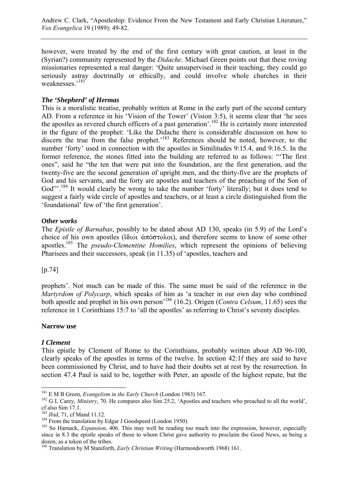however, were treated by the end of the first century with great caution, at least in the (Syrian?) community represented by the *Didache*. Michael Green points out that these roving missionaries represented a real danger: 'Quite unsupervised in their teaching, they could go seriously astray doctrinally or ethically, and could involve whole churches in their weaknesses.'<sup>181</sup>

# *The 'Shepherd' of Hermas*

This is a moralistic treatise, probably written at Rome in the early part of the second century AD. From a reference in his 'Vision of the Tower' (Vision 3:5), it seems clear that 'he sees the apostles as revered church officers of a past generation'.<sup>182</sup> He is certainly more interested in the figure of the prophet: 'Like the Didache there is considerable discussion on how to discern the true from the false prophet.<sup>183</sup> References should be noted, however, to the number 'forty' used in connection with the apostles in Similitudes 9:15.4, and 9:16.5. In the former reference, the stones fitted into the building are referred to as follows: "'The first ones", said he "the ten that were put into the foundation, are the first generation, and the twenty-five are the second generation of upright men, and the thirty-five are the prophets of God and his servants, and the forty are apostles and teachers of the preaching of the Son of God"<sup>184</sup> It would clearly be wrong to take the number 'forty' literally; but it does tend to suggest a fairly wide circle of apostles and teachers, or at least a circle distinguished from the 'foundational' few of 'the first generation'.

# *Other works*

The *Epistle of Barnabas*, possibly to be dated about AD 130, speaks (in 5.9) of the Lord's choice of his own apostles ( $i\delta$ iou  $\dot{\alpha}\pi\dot{\alpha}\sigma$ τολοι), and therefore seems to know of some other apostles.185 The *pseudo-Clementine Homilies*, which represent the opinions of believing Pharisees and their successors, speak (in 11.35) of 'apostles, teachers and

[p.74]

prophets'. Not much can be made of this. The same must be said of the reference in the *Martyrdom of Polycarp*, which speaks of him as 'a teacher in our own day who combined both apostle and prophet in his own person'186 (16.2). Origen (*Contra Celsum*, 11.65) sees the reference in 1 Corinthians 15:7 to 'all the apostles' as referring to Christ's seventy disciples.

# **Narrow use**

# *I Clement*

This epistle by Clement of Rome to the Corinthians, probably written about AD 96-100, clearly speaks of the apostles in terms of the twelve. In section 42:1f they are said to have been commissioned by Christ, and to have had their doubts set at rest by the resurrection. In section 47.4 Paul is said to be, together with Peter, an apostle of the highest repute, but the

 $181$  E M B Green, *Evangelism in the Early Church* (London 1983) 167.

<sup>&</sup>lt;sup>182</sup> G L Carey, *Ministry*, 70. He compares also Sim 25.2, 'Apostles and teachers who preached to all the world', cf also Sim 17.1.

<sup>&</sup>lt;sup>183</sup> *Ibid*, 71, cf Mand 11.12.<br><sup>184</sup> From the translation by Edgar J Goodspeed (London 1950).<br><sup>185</sup> So Harnack, *Expansion*, 406. This may well be reading too much into the expression, however, especially since in 8.3 the epistle speaks of those to whom Christ gave authority to proclaim the Good News, as being a dozen, as a token of the tribes.

<sup>186</sup> Translation by M Staniforth, *Early Christian Writing* (Harmondsworth 1968) 161.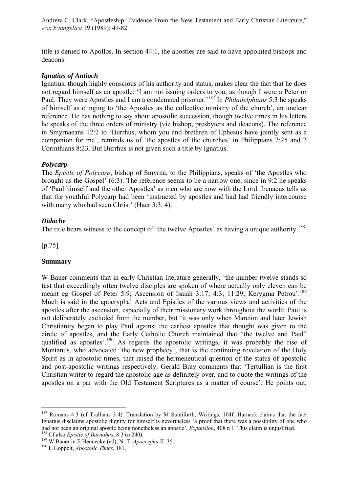title is denied to Apollos. In section 44:1, the apostles are said to have appointed bishops and deacons.

# *Ignatius of Antioch*

Ignatius, though highly conscious of his authority and status, makes clear the fact that he does not regard himself as an apostle: 'I am not issuing orders to you, as though I were a Peter or Paul. They were Apostles and I am a condemned prisoner.'187 In *Philadelphians* 5:3 he speaks of himself as clinging to 'the Apostles as the collective ministry of the church', an unclear reference. He has nothing to say about apostolic succession, though twelve times in his letters he speaks of the three orders of ministry (viz bishop, presbyters and deacons). The reference in Smyrnaeans 12:2 to 'Burrhus, whom you and brethren of Ephesus have jointly sent as a companion for me', reminds us of 'the apostles of the churches' in Philippians 2:25 and 2 Corinthians 8:23. But Burrhus is not given such a title by Ignatius.

### *Polycarp*

The *Epistle of Polycarp*, bishop of Smyrna, to the Philippians, speaks of 'the Apostles who brought us the Gospel' (6:3). The reference seems to be a narrow one, since in 9:2 he speaks of 'Paul himself and the other Apostles' as men who are now with the Lord. Irenaeus tells us that the youthful Polycarp had been 'instructed by apostles and had had friendly intercourse with many who had seen Christ' (Haer 3:3, 4).

### *Didache*

The title bears witness to the concept of 'the twelve Apostles' as having a unique authority.<sup>188</sup>

[p.75]

 $\overline{a}$ 

# **Summary**

W Bauer comments that in early Christian literature generally, 'the number twelve stands so fast that exceedingly often twelve disciples are spoken of where actually only eleven can be meant eg Gospel of Peter 5:9; Ascension of Isaiah 3:17; 4:3; 11:29; Kerygma Petrou<sup>'.189</sup> Much is said in the apocryphal Acts and Epistles of the various views and activities of the apostles after the ascension, especially of their missionary work throughout the world. Paul is not deliberately excluded from the number, but 'it was only when Marcion and later Jewish Christianity began to play Paul against the earliest apostles that thought was given to the circle of apostles, and the Early Catholic Church maintained that "the twelve and Paul" qualified as apostles'.190 As regards the apostolic writings, it was probably the rise of Montanus, who advocated 'the new prophecy', that is the continuing revelation of the Holy Spirit as in apostolic times, that raised the hermeneutical question of the status of apostolic and post-apostolic writings respectively. Gerald Bray comments that 'Tertullian is the first Christian writer to regard the apostolic age as definitely over, and to quote the writings of the apostles on a par with the Old Testament Scriptures as a matter of course'. He points out,

<sup>&</sup>lt;sup>187</sup> Romans 4:3 (cf Trallians 3:4). Translation by M Staniforth, Writings, 104f. Harnack claims that the fact Ignatius disclaims apostolic dignity for himself is nevertheless 'a proof that there was a possibility of one who had not been an original apostle being nonetheless an apostle', *Expansion*, 408 n 1. This claim is unjustified.<br><sup>188</sup> Cf also *Epistle of Barnabas*, 8:3 (n 240).<br><sup>189</sup> W Bauer in E Hennecke (ed), N. T. *Apocrypha* II. 35.